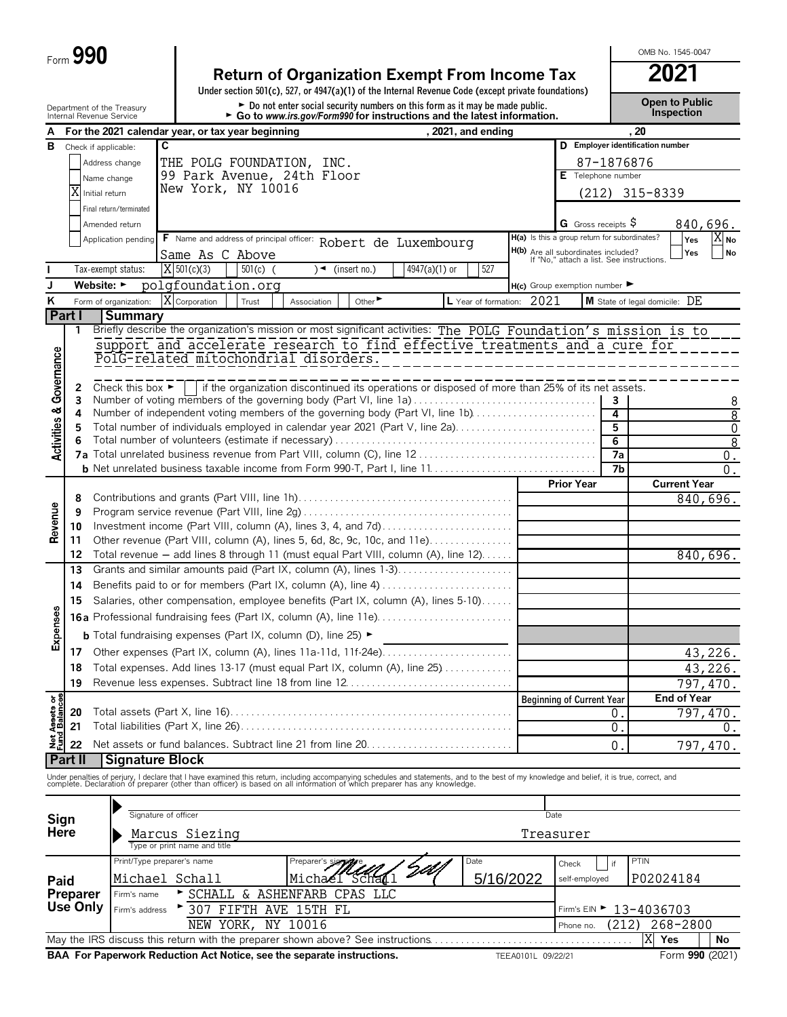# **Return of Organization Exempt From Income Tax 2021**

**Under section 501(c), 527, or 4947(a)(1) of the Internal Revenue Code (except private foundations)**

Department of the Treasury **Depen to Public**<br>Internal Revenue Service **Configuration Configuration Configuration Configuration Configuration.** Configuration

OMB No. 1545-0047

| A                                      |                 |                                      | ad to www.ira.gov/r oriflaat for infatractions and the fatest imorniation.<br>For the 2021 calendar year, or tax year beginning<br>, 2021, and ending                                                                             |      |                                                                                         |            | 20                               |                  |
|----------------------------------------|-----------------|--------------------------------------|-----------------------------------------------------------------------------------------------------------------------------------------------------------------------------------------------------------------------------------|------|-----------------------------------------------------------------------------------------|------------|----------------------------------|------------------|
| в                                      |                 |                                      | C                                                                                                                                                                                                                                 |      |                                                                                         |            | D Employer identification number |                  |
|                                        |                 | Check if applicable:                 |                                                                                                                                                                                                                                   |      |                                                                                         |            |                                  |                  |
|                                        |                 | Address change                       | THE POLG FOUNDATION, INC.                                                                                                                                                                                                         |      |                                                                                         | 87-1876876 |                                  |                  |
|                                        |                 | Name change                          | 99 Park Avenue, 24th Floor                                                                                                                                                                                                        |      | E Telephone number                                                                      |            |                                  |                  |
|                                        |                 | Initial return                       | New York, NY 10016                                                                                                                                                                                                                |      |                                                                                         |            | $(212)$ 315-8339                 |                  |
|                                        |                 | Final return/terminated              |                                                                                                                                                                                                                                   |      |                                                                                         |            |                                  |                  |
|                                        |                 | Amended return                       |                                                                                                                                                                                                                                   |      | G Gross receipts $\ddot{\varphi}$                                                       |            |                                  | 840,696.         |
|                                        |                 | Application pending                  | F Name and address of principal officer: Robert de Luxembourg                                                                                                                                                                     |      | H(a) Is this a group return for subordinates?                                           |            | Yes                              | $X_{N0}$         |
|                                        |                 |                                      | Same As C Above                                                                                                                                                                                                                   |      | <b>H(b)</b> Are all subordinates included?<br>If "No," attach a list. See instructions. |            | Yes                              | No               |
|                                        |                 | Tax-exempt status:                   | $X$ 501(c)(3)<br>$501(c)$ (<br>$)$ (insert no.)<br>4947(a)(1) or<br>527                                                                                                                                                           |      |                                                                                         |            |                                  |                  |
|                                        |                 |                                      |                                                                                                                                                                                                                                   |      |                                                                                         |            |                                  |                  |
| J                                      |                 | Website: $\blacktriangleright$       | polgfoundation.org                                                                                                                                                                                                                |      | $H(c)$ Group exemption number                                                           |            |                                  |                  |
| ĸ                                      |                 | Form of organization:                | X Corporation<br>L Year of formation: 2021<br>Other <sup>&gt;</sup><br>Trust<br>Association                                                                                                                                       |      |                                                                                         |            | M State of legal domicile: DE    |                  |
|                                        | Part I          | <b>Summary</b>                       |                                                                                                                                                                                                                                   |      |                                                                                         |            |                                  |                  |
|                                        | 1               |                                      | Briefly describe the organization's mission or most significant activities: The POLG Foundation's mission is to                                                                                                                   |      |                                                                                         |            |                                  |                  |
|                                        |                 |                                      | support and accelerate research to find effective treatments and a cure for                                                                                                                                                       |      |                                                                                         |            |                                  |                  |
| <b>Activities &amp; Governance</b>     |                 |                                      | PolG-related mitochondrial disorders.                                                                                                                                                                                             |      |                                                                                         |            |                                  |                  |
|                                        |                 |                                      |                                                                                                                                                                                                                                   |      |                                                                                         |            |                                  |                  |
|                                        | 2               | Check this box $\blacktriangleright$ | if the organization discontinued its operations or disposed of more than 25% of its net assets.                                                                                                                                   |      |                                                                                         |            |                                  |                  |
|                                        | 3               |                                      | Number of voting members of the governing body (Part VI, line 1a)                                                                                                                                                                 |      |                                                                                         | 3          |                                  | 8                |
|                                        | 4               |                                      | Number of independent voting members of the governing body (Part VI, line 1b)                                                                                                                                                     |      |                                                                                         | 4          |                                  | $\overline{8}$   |
|                                        | 5               |                                      | Total number of individuals employed in calendar year 2021 (Part V, line 2a)                                                                                                                                                      |      |                                                                                         | 5          |                                  | 0                |
|                                        |                 |                                      |                                                                                                                                                                                                                                   |      |                                                                                         | 6          |                                  | $\overline{8}$   |
|                                        |                 |                                      |                                                                                                                                                                                                                                   |      |                                                                                         | 7a         |                                  | $0$ .            |
|                                        |                 |                                      |                                                                                                                                                                                                                                   |      |                                                                                         | 7b         |                                  | $\overline{0}$ . |
|                                        |                 |                                      |                                                                                                                                                                                                                                   |      | <b>Prior Year</b>                                                                       |            | <b>Current Year</b>              |                  |
|                                        | 8               |                                      |                                                                                                                                                                                                                                   |      |                                                                                         |            |                                  | 840,696.         |
| Revenue                                | 9               |                                      |                                                                                                                                                                                                                                   |      |                                                                                         |            |                                  |                  |
|                                        | 10              |                                      | Investment income (Part VIII, column (A), lines 3, 4, and 7d)                                                                                                                                                                     |      |                                                                                         |            |                                  |                  |
|                                        | 11              |                                      | Other revenue (Part VIII, column (A), lines 5, 6d, 8c, 9c, 10c, and 11e)                                                                                                                                                          |      |                                                                                         |            |                                  |                  |
|                                        | 12              |                                      | Total revenue - add lines 8 through 11 (must equal Part VIII, column (A), line 12)                                                                                                                                                |      |                                                                                         |            |                                  | 840,696.         |
|                                        | 13              |                                      | Grants and similar amounts paid (Part IX, column (A), lines 1-3)                                                                                                                                                                  |      |                                                                                         |            |                                  |                  |
|                                        | 14              |                                      | Benefits paid to or for members (Part IX, column (A), line 4)                                                                                                                                                                     |      |                                                                                         |            |                                  |                  |
|                                        | 15              |                                      | Salaries, other compensation, employee benefits (Part IX, column (A), lines 5-10)                                                                                                                                                 |      |                                                                                         |            |                                  |                  |
| Expenses                               |                 |                                      | <b>16a</b> Professional fundraising fees (Part IX, column (A), line 11e)                                                                                                                                                          |      |                                                                                         |            |                                  |                  |
|                                        |                 |                                      | <b>b</b> Total fundraising expenses (Part IX, column (D), line 25) $\blacktriangleright$                                                                                                                                          |      |                                                                                         |            |                                  |                  |
|                                        |                 |                                      |                                                                                                                                                                                                                                   |      |                                                                                         |            |                                  |                  |
|                                        | 17              |                                      |                                                                                                                                                                                                                                   |      |                                                                                         |            |                                  | 43,226.          |
|                                        | 18              |                                      | Total expenses. Add lines 13-17 (must equal Part IX, column (A), line 25)                                                                                                                                                         |      |                                                                                         |            |                                  | 43,226.          |
|                                        | 19              |                                      |                                                                                                                                                                                                                                   |      |                                                                                         |            |                                  | 797,470.         |
|                                        |                 |                                      |                                                                                                                                                                                                                                   |      | Beginning of Current Year                                                               |            | End of Year                      |                  |
|                                        | 20              |                                      |                                                                                                                                                                                                                                   |      |                                                                                         | 0          |                                  | 797,470.         |
| <b>Net Assets or<br/>Fund Balances</b> | 21              |                                      |                                                                                                                                                                                                                                   |      |                                                                                         | 0          |                                  | 0.               |
|                                        | 22              |                                      | Net assets or fund balances. Subtract line 21 from line 20                                                                                                                                                                        |      |                                                                                         | 0          |                                  | 797,470.         |
|                                        | Part II         | <b>Signature Block</b>               |                                                                                                                                                                                                                                   |      |                                                                                         |            |                                  |                  |
|                                        |                 |                                      |                                                                                                                                                                                                                                   |      |                                                                                         |            |                                  |                  |
|                                        |                 |                                      | Under penalties of perjury, I declare that I have examined this return, including accompanying schedules and statements, and to the best of my knowledge and belief, it is true, correct, and<br>complete. Declaration of prepare |      |                                                                                         |            |                                  |                  |
|                                        |                 |                                      |                                                                                                                                                                                                                                   |      |                                                                                         |            |                                  |                  |
| Sign                                   |                 |                                      | Signature of officer                                                                                                                                                                                                              | Date |                                                                                         |            |                                  |                  |
| Here                                   |                 |                                      | Marcus Siezing                                                                                                                                                                                                                    |      | Treasurer                                                                               |            |                                  |                  |
|                                        |                 |                                      | Type or print name and title                                                                                                                                                                                                      |      |                                                                                         |            |                                  |                  |
|                                        |                 |                                      | Print/Type preparer's name<br>Date<br>Preparer's si                                                                                                                                                                               |      |                                                                                         |            | PTIN                             |                  |
|                                        |                 |                                      |                                                                                                                                                                                                                                   |      | Check                                                                                   | if         |                                  |                  |
| Paid                                   |                 |                                      | 5/16/2022<br>Michael Schall<br>Michaél Schall                                                                                                                                                                                     |      | self-employed                                                                           |            | P02024184                        |                  |
|                                        | Preparer        | Firm's name                          | SCHALL & ASHENFARB CPAS LLC                                                                                                                                                                                                       |      |                                                                                         |            |                                  |                  |
|                                        | <b>Use Only</b> | Firm's address                       | * 307 FIFTH AVE 15TH FL                                                                                                                                                                                                           |      |                                                                                         |            | Firm's EIN > 13-4036703          |                  |
|                                        |                 |                                      | NEW YORK, NY 10016                                                                                                                                                                                                                |      | Phone no.                                                                               | (212)      | 268-2800                         |                  |
|                                        |                 |                                      |                                                                                                                                                                                                                                   |      |                                                                                         |            | X<br>Yes                         | No               |

**BAA For Paperwork Reduction Act Notice, see the separate instructions.** TEEA0101L 09/22/21 Form 990 (2021)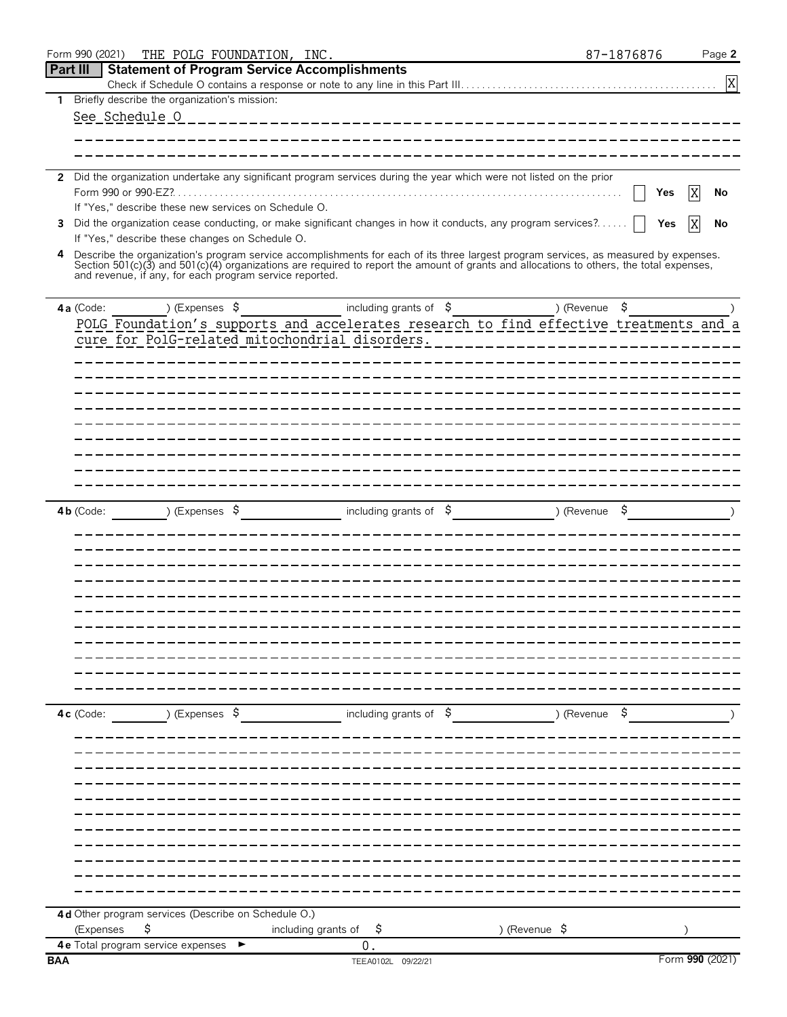|            | Form 990 (2021)<br>THE POLG FOUNDATION, INC.                                                                                                                                                        |                           |                                                | 87-1876876    | Page 2          |
|------------|-----------------------------------------------------------------------------------------------------------------------------------------------------------------------------------------------------|---------------------------|------------------------------------------------|---------------|-----------------|
| Part III   | <b>Statement of Program Service Accomplishments</b>                                                                                                                                                 |                           |                                                |               |                 |
|            | 1 Briefly describe the organization's mission:                                                                                                                                                      |                           |                                                |               | X               |
|            | See Schedule O                                                                                                                                                                                      |                           |                                                |               |                 |
|            |                                                                                                                                                                                                     |                           |                                                |               |                 |
|            |                                                                                                                                                                                                     |                           |                                                |               |                 |
|            |                                                                                                                                                                                                     |                           |                                                |               |                 |
|            | 2 Did the organization undertake any significant program services during the year which were not listed on the prior                                                                                |                           |                                                |               |                 |
|            | If "Yes," describe these new services on Schedule O.                                                                                                                                                |                           |                                                | Yes           | No<br>X         |
| 3          | Did the organization cease conducting, or make significant changes in how it conducts, any program services?                                                                                        |                           |                                                | Yes           | No              |
|            | If "Yes," describe these changes on Schedule O.                                                                                                                                                     |                           |                                                |               |                 |
| 4          | Describe the organization's program service accomplishments for each of its three largest program services, as measured by expenses.                                                                |                           |                                                |               |                 |
|            | Section 501(c)(3) and 501(c)(4) organizations are required to report the amount of grants and allocations to others, the total expenses,<br>and revenue, if any, for each program service reported. |                           |                                                |               |                 |
|            |                                                                                                                                                                                                     |                           |                                                |               |                 |
|            | ) (Expenses \$<br>4a (Code:                                                                                                                                                                         |                           | including grants of $\beta$ (Revenue $\beta$ ) |               |                 |
|            | POLG Foundation's supports and accelerates research to find effective treatments and a                                                                                                              |                           |                                                |               |                 |
|            | cure for PolG-related mitochondrial disorders.                                                                                                                                                      |                           |                                                |               |                 |
|            |                                                                                                                                                                                                     |                           |                                                |               |                 |
|            |                                                                                                                                                                                                     |                           |                                                |               |                 |
|            |                                                                                                                                                                                                     |                           |                                                |               |                 |
|            |                                                                                                                                                                                                     |                           |                                                |               |                 |
|            |                                                                                                                                                                                                     |                           |                                                |               |                 |
|            |                                                                                                                                                                                                     |                           |                                                |               |                 |
|            |                                                                                                                                                                                                     |                           |                                                |               |                 |
|            |                                                                                                                                                                                                     |                           |                                                |               |                 |
|            |                                                                                                                                                                                                     |                           |                                                |               |                 |
|            | ) (Expenses $\sqrt{5}$<br>$4b$ (Code:                                                                                                                                                               |                           | including grants of $\frac{1}{2}$              | ) (Revenue \$ |                 |
|            |                                                                                                                                                                                                     |                           |                                                |               |                 |
|            |                                                                                                                                                                                                     |                           |                                                |               |                 |
|            |                                                                                                                                                                                                     |                           |                                                |               |                 |
|            |                                                                                                                                                                                                     |                           |                                                |               |                 |
|            |                                                                                                                                                                                                     |                           |                                                |               |                 |
|            |                                                                                                                                                                                                     |                           |                                                |               |                 |
|            |                                                                                                                                                                                                     |                           |                                                |               |                 |
|            |                                                                                                                                                                                                     |                           |                                                |               |                 |
|            |                                                                                                                                                                                                     |                           |                                                |               |                 |
|            |                                                                                                                                                                                                     |                           |                                                |               |                 |
|            | ) (Expenses \$<br>$4c$ (Code:                                                                                                                                                                       |                           | including grants of $\beta$                    | )(Revenue \$  |                 |
|            |                                                                                                                                                                                                     |                           |                                                |               |                 |
|            |                                                                                                                                                                                                     |                           |                                                |               |                 |
|            |                                                                                                                                                                                                     |                           |                                                |               |                 |
|            |                                                                                                                                                                                                     |                           |                                                |               |                 |
|            |                                                                                                                                                                                                     |                           |                                                |               |                 |
|            |                                                                                                                                                                                                     |                           |                                                |               |                 |
|            |                                                                                                                                                                                                     |                           |                                                |               |                 |
|            |                                                                                                                                                                                                     |                           |                                                |               |                 |
|            |                                                                                                                                                                                                     |                           |                                                |               |                 |
|            |                                                                                                                                                                                                     |                           |                                                |               |                 |
|            |                                                                                                                                                                                                     |                           |                                                |               |                 |
|            | 4d Other program services (Describe on Schedule O.)                                                                                                                                                 |                           |                                                |               |                 |
|            | \$<br>(Expenses                                                                                                                                                                                     | including grants of<br>\$ | ) (Revenue \$                                  |               |                 |
| <b>BAA</b> | 4e Total program service expenses                                                                                                                                                                   | $\mathbf 0$ .             | TEEA0102L 09/22/21                             |               | Form 990 (2021) |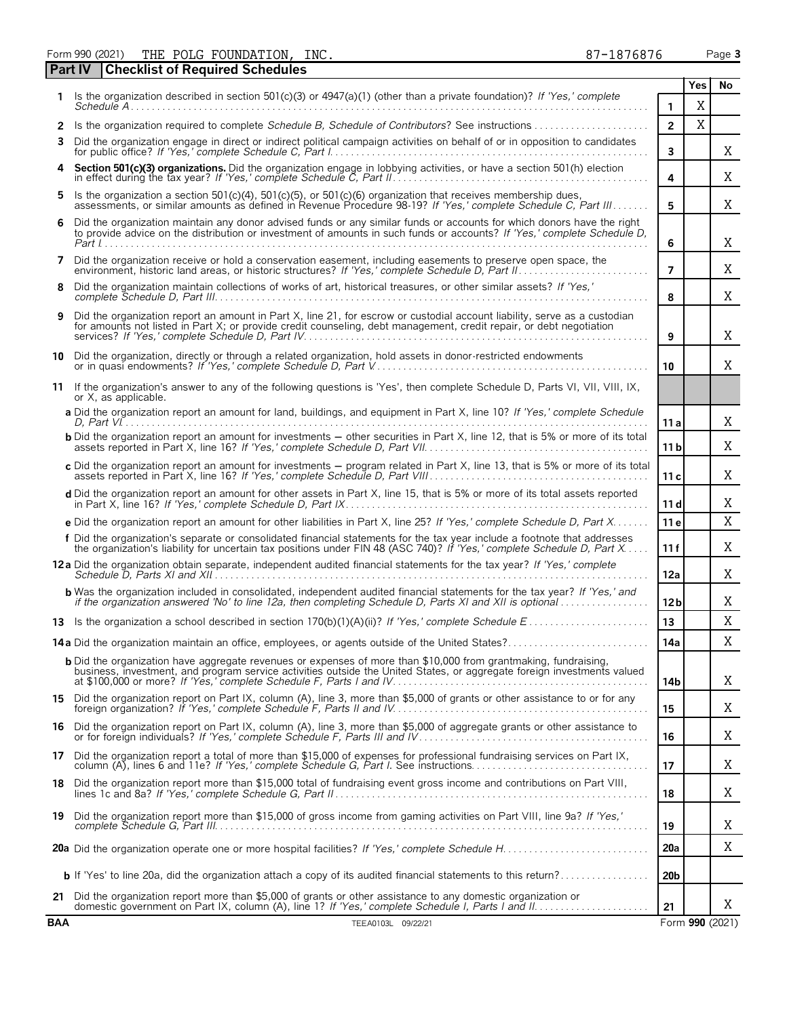Form 990 (2021) PHE POLG FOUNDATION, INC.  $87-1876876$  Page 3

**Part IV Checklist of Required Schedules**

|                |                                                                                                                                                                                                                                                     |                 | res | NO.             |  |  |  |  |  |
|----------------|-----------------------------------------------------------------------------------------------------------------------------------------------------------------------------------------------------------------------------------------------------|-----------------|-----|-----------------|--|--|--|--|--|
|                | Is the organization described in section 501(c)(3) or $4947(a)(1)$ (other than a private foundation)? If 'Yes,' complete                                                                                                                            | 1               | Χ   |                 |  |  |  |  |  |
| 2              | Is the organization required to complete Schedule B. Schedule of Contributors? See instructions                                                                                                                                                     | $\overline{2}$  | X   |                 |  |  |  |  |  |
| 3              | Did the organization engage in direct or indirect political campaign activities on behalf of or in opposition to candidates                                                                                                                         | 3               |     | X               |  |  |  |  |  |
| 4              | Section 501(c)(3) organizations. Did the organization engage in lobbying activities, or have a section 501(h) election                                                                                                                              | 4               |     | Χ               |  |  |  |  |  |
| 5              | Is the organization a section 501(c)(4), 501(c)(5), or 501(c)(6) organization that receives membership dues,<br>assessments, or similar amounts as defined in Revenue Procedure 98-19? If 'Yes,' complete Schedule C, Part III                      | 5               |     | X               |  |  |  |  |  |
| 6              | Did the organization maintain any donor advised funds or any similar funds or accounts for which donors have the right<br>to provide advice on the distribution or investment of amounts in such funds or accounts? If 'Yes,' complete Schedule D,  |                 |     |                 |  |  |  |  |  |
| $\overline{7}$ | Did the organization receive or hold a conservation easement, including easements to preserve open space, the                                                                                                                                       |                 |     |                 |  |  |  |  |  |
| 8              | Did the organization maintain collections of works of art, historical treasures, or other similar assets? If 'Yes,'                                                                                                                                 | 8               |     | Χ               |  |  |  |  |  |
| 9              | Did the organization report an amount in Part X, line 21, for escrow or custodial account liability, serve as a custodian<br>for amounts not listed in Part X; or provide credit counseling, debt management, credit repair, or debt negotiation    |                 |     |                 |  |  |  |  |  |
|                | 10 Did the organization, directly or through a related organization, hold assets in donor-restricted endowments                                                                                                                                     | 10              |     | Χ               |  |  |  |  |  |
|                | 11 If the organization's answer to any of the following questions is 'Yes', then complete Schedule D, Parts VI, VII, VIII, IX,<br>or X, as applicable.                                                                                              |                 |     |                 |  |  |  |  |  |
|                | a Did the organization report an amount for land, buildings, and equipment in Part X, line 10? If 'Yes,' complete Schedule                                                                                                                          | 11a             |     | X               |  |  |  |  |  |
|                | <b>b</b> Did the organization report an amount for investments - other securities in Part X, line 12, that is 5% or more of its total                                                                                                               | 11 b            |     | Χ               |  |  |  |  |  |
|                | c Did the organization report an amount for investments - program related in Part X, line 13, that is 5% or more of its total                                                                                                                       | 11c             |     | Χ               |  |  |  |  |  |
|                | d Did the organization report an amount for other assets in Part X, line 15, that is 5% or more of its total assets reported                                                                                                                        | 11d             |     | Χ               |  |  |  |  |  |
|                | e Did the organization report an amount for other liabilities in Part X, line 25? If 'Yes,' complete Schedule D, Part X                                                                                                                             | 11 <sub>e</sub> |     | X               |  |  |  |  |  |
|                | f Did the organization's separate or consolidated financial statements for the tax year include a footnote that addresses<br>the organization's liability for uncertain tax positions under FIN 48 (ASC 740)? If 'Yes,' complete Schedule D, Part X | 11f             |     | Χ               |  |  |  |  |  |
|                | 12a Did the organization obtain separate, independent audited financial statements for the tax year? If 'Yes,' complete                                                                                                                             | 12a             |     | Χ               |  |  |  |  |  |
|                | <b>b</b> Was the organization included in consolidated, independent audited financial statements for the tax year? If 'Yes,' and<br>if the organization answered 'No' to line 12a, then completing Schedule D, Parts XI and XII is optional         | 12 <sub>b</sub> |     | Χ               |  |  |  |  |  |
|                |                                                                                                                                                                                                                                                     | 13              |     | Χ               |  |  |  |  |  |
|                | 14a Did the organization maintain an office, employees, or agents outside of the United States?                                                                                                                                                     | 14a             |     | Χ               |  |  |  |  |  |
|                | <b>b</b> Did the organization have aggregate revenues or expenses of more than \$10,000 from grantmaking, fundraising,<br>business, investment, and program service activities outside the United States, or aggregate foreign investments valued   | 14b             |     | Χ               |  |  |  |  |  |
|                | 15 Did the organization report on Part IX, column (A), line 3, more than \$5,000 of grants or other assistance to or for any                                                                                                                        | 15              |     | Χ               |  |  |  |  |  |
| 16             | Did the organization report on Part IX, column (A), line 3, more than \$5,000 of aggregate grants or other assistance to                                                                                                                            | 16              |     | Χ               |  |  |  |  |  |
| 17             | Did the organization report a total of more than \$15,000 of expenses for professional fundraising services on Part IX,                                                                                                                             | 17              |     | Χ               |  |  |  |  |  |
| 18             | Did the organization report more than \$15,000 total of fundraising event gross income and contributions on Part VIII,                                                                                                                              | 18              |     | Χ               |  |  |  |  |  |
| 19             | Did the organization report more than \$15,000 of gross income from gaming activities on Part VIII, line 9a? If 'Yes,'                                                                                                                              | 19              |     | X               |  |  |  |  |  |
|                |                                                                                                                                                                                                                                                     | <b>20a</b>      |     | Χ               |  |  |  |  |  |
|                |                                                                                                                                                                                                                                                     | 20 <sub>b</sub> |     |                 |  |  |  |  |  |
|                | 21 Did the organization report more than \$5,000 of grants or other assistance to any domestic organization or                                                                                                                                      | 21              |     | Χ               |  |  |  |  |  |
| <b>BAA</b>     | TEEA0103L 09/22/21                                                                                                                                                                                                                                  |                 |     | Form 990 (2021) |  |  |  |  |  |

**Yes No**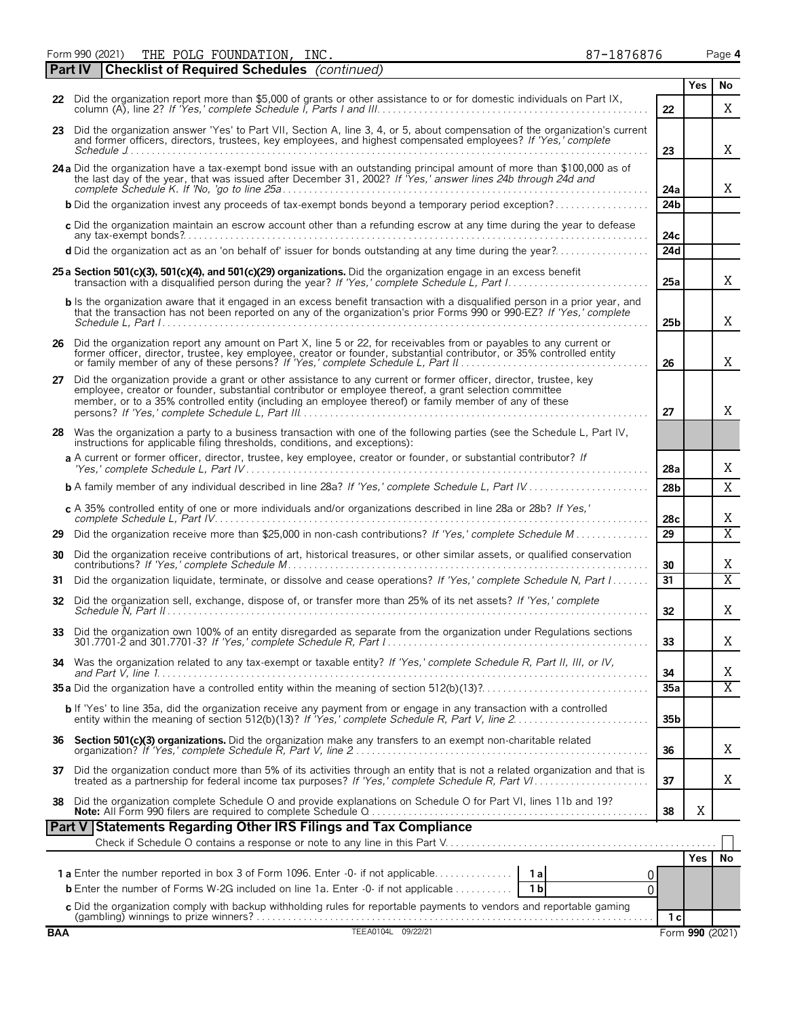|     | 22 Did the organization report more than \$5,000 of grants or other assistance to or for domestic individuals on Part IX,                                                                                                                                                                                                                | 22              |                 | X                       |  |
|-----|------------------------------------------------------------------------------------------------------------------------------------------------------------------------------------------------------------------------------------------------------------------------------------------------------------------------------------------|-----------------|-----------------|-------------------------|--|
|     | 23 Did the organization answer 'Yes' to Part VII, Section A, line 3, 4, or 5, about compensation of the organization's current<br>and former officers, directors, trustees, key employees, and highest compensated employees? If 'Yes,' complete                                                                                         | 23              |                 | Χ                       |  |
|     | 24 a Did the organization have a tax-exempt bond issue with an outstanding principal amount of more than \$100,000 as of<br>the last day of the year, that was issued after December 31, 2002? If Yes,' answer lines 24b through 24d and                                                                                                 | 24a             |                 | Χ                       |  |
|     | <b>b</b> Did the organization invest any proceeds of tax-exempt bonds beyond a temporary period exception?                                                                                                                                                                                                                               | 24b             |                 |                         |  |
|     | c Did the organization maintain an escrow account other than a refunding escrow at any time during the year to defease                                                                                                                                                                                                                   | 24c             |                 |                         |  |
|     | d Did the organization act as an 'on behalf of' issuer for bonds outstanding at any time during the year?                                                                                                                                                                                                                                | 24d             |                 |                         |  |
|     | 25 a Section 501(c)(3), 501(c)(4), and 501(c)(29) organizations. Did the organization engage in an excess benefit                                                                                                                                                                                                                        | 25a             |                 | Χ                       |  |
|     | <b>b</b> Is the organization aware that it engaged in an excess benefit transaction with a disqualified person in a prior year, and<br>that the transaction has not been reported on any of the organization's prior Forms 990 or 990-EZ? If 'Yes,' complete                                                                             | 25 <sub>b</sub> |                 | X                       |  |
|     | 26 Did the organization report any amount on Part X, line 5 or 22, for receivables from or payables to any current or<br>former officer, director, trustee, key employee, creator or founder, substantial contributor, or 35% controlled entity                                                                                          | 26              |                 | Χ                       |  |
|     | 27 Did the organization provide a grant or other assistance to any current or former officer, director, trustee, key<br>employee, creator or founder, substantial contributor or employee thereof, a grant selection committee<br>member, or to a 35% controlled entity (including an employee thereof) or family member of any of these | 27              |                 | X                       |  |
| 28  | Was the organization a party to a business transaction with one of the following parties (see the Schedule L, Part IV,<br>instructions for applicable filing thresholds, conditions, and exceptions):                                                                                                                                    |                 |                 |                         |  |
|     | a A current or former officer, director, trustee, key employee, creator or founder, or substantial contributor? If                                                                                                                                                                                                                       | 28a             |                 | Χ                       |  |
|     |                                                                                                                                                                                                                                                                                                                                          | 28 <sub>b</sub> |                 | X                       |  |
|     | c A 35% controlled entity of one or more individuals and/or organizations described in line 28a or 28b? If Yes,'                                                                                                                                                                                                                         | 28 <sub>c</sub> |                 | Χ                       |  |
| 29  | Did the organization receive more than \$25,000 in non-cash contributions? If 'Yes,' complete Schedule M                                                                                                                                                                                                                                 | 29              |                 | $\overline{\mathrm{X}}$ |  |
| 30  | Did the organization receive contributions of art, historical treasures, or other similar assets, or qualified conservation                                                                                                                                                                                                              | 30              |                 | Χ                       |  |
| 31  | Did the organization liquidate, terminate, or dissolve and cease operations? If 'Yes,' complete Schedule N, Part I                                                                                                                                                                                                                       | 31              |                 | $\overline{\mathrm{X}}$ |  |
|     | 32 Did the organization sell, exchange, dispose of, or transfer more than 25% of its net assets? If 'Yes,' complete                                                                                                                                                                                                                      | 32              |                 | Χ                       |  |
|     | 33 Did the organization own 100% of an entity disregarded as separate from the organization under Regulations sections                                                                                                                                                                                                                   | 33              |                 | Χ                       |  |
|     | 34 Was the organization related to any tax-exempt or taxable entity? If 'Yes,' complete Schedule R, Part II, III, or IV,                                                                                                                                                                                                                 | 34              |                 | Χ                       |  |
|     |                                                                                                                                                                                                                                                                                                                                          | 35a             |                 | $\overline{\mathrm{X}}$ |  |
|     | b If 'Yes' to line 35a, did the organization receive any payment from or engage in any transaction with a controlled                                                                                                                                                                                                                     | 35b             |                 |                         |  |
|     | 36 Section 501(c)(3) organizations. Did the organization make any transfers to an exempt non-charitable related                                                                                                                                                                                                                          | 36              |                 | Χ                       |  |
|     | 37 Did the organization conduct more than 5% of its activities through an entity that is not a related organization and that is treated as a partnership for federal income tax purposes? If 'Yes,' complete Schedule R, Part                                                                                                            | 37              |                 | Χ                       |  |
|     |                                                                                                                                                                                                                                                                                                                                          | 38              | Χ               |                         |  |
|     | Part V Statements Regarding Other IRS Filings and Tax Compliance                                                                                                                                                                                                                                                                         |                 |                 |                         |  |
|     |                                                                                                                                                                                                                                                                                                                                          |                 | <b>Yes</b>      | No                      |  |
|     | O<br><b>b</b> Enter the number of Forms W-2G included on line 1a. Enter -0- if not applicable<br>1 b<br>0                                                                                                                                                                                                                                |                 |                 |                         |  |
|     | c Did the organization comply with backup withholding rules for reportable payments to vendors and reportable gaming<br>Gambling) winnings to prize winners?                                                                                                                                                                             | 1 <sub>c</sub>  |                 |                         |  |
| BAA | TEEA0104L 09/22/21                                                                                                                                                                                                                                                                                                                       |                 | Form 990 (2021) |                         |  |

|  | <b>STATE OF STATE OF STATE OF STATE OF STATE OF STATE OF STATE OF STATE OF STATE OF STATE OF STATE OF STATE OF S</b><br>×<br><br>٠ |
|--|------------------------------------------------------------------------------------------------------------------------------------|
|  |                                                                                                                                    |
|  |                                                                                                                                    |
|  |                                                                                                                                    |
|  |                                                                                                                                    |
|  |                                                                                                                                    |

| Form 990 (2021) |  | THE POLG FOUNDATION, INC.                                  |  | 87-1876876 | Page 4 |
|-----------------|--|------------------------------------------------------------|--|------------|--------|
|                 |  | <b>Part IV Checklist of Required Schedules</b> (continued) |  |            |        |

| I |
|---|
|---|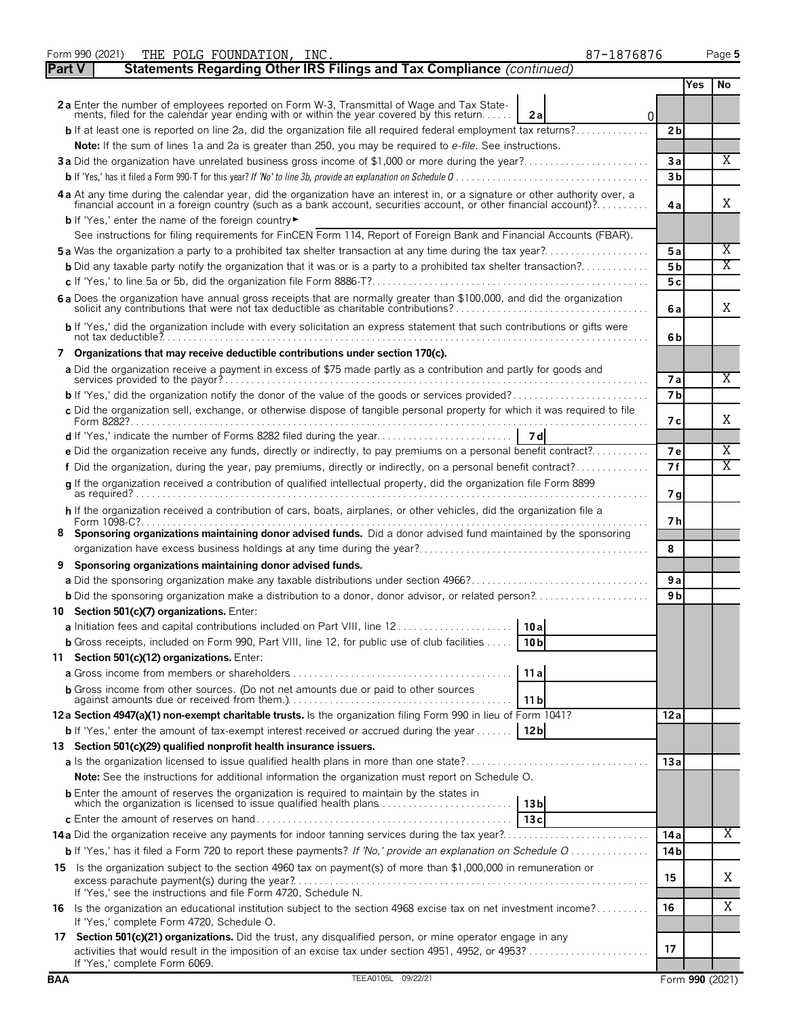| Form 990 (2021)<br>THE POLG FOUNDATION, INC.                                                                                                                                                                                   | 87-1876876      |     | Page 5                  |
|--------------------------------------------------------------------------------------------------------------------------------------------------------------------------------------------------------------------------------|-----------------|-----|-------------------------|
| Statements Regarding Other IRS Filings and Tax Compliance (continued)<br><b>Part V</b>                                                                                                                                         |                 |     |                         |
|                                                                                                                                                                                                                                |                 | Yes | No                      |
| 2a Enter the number of employees reported on Form W-3, Transmittal of Wage and Tax Statements, filed for the calendar year ending with or within the year covered by this return<br>2a                                         | $\overline{0}$  |     |                         |
| <b>b</b> If at least one is reported on line 2a, did the organization file all required federal employment tax returns?                                                                                                        | 2 <sub>b</sub>  |     |                         |
| Note: If the sum of lines 1a and 2a is greater than 250, you may be required to e-file. See instructions.                                                                                                                      |                 |     |                         |
| 3a Did the organization have unrelated business gross income of \$1,000 or more during the year?                                                                                                                               | 3a              |     | X                       |
|                                                                                                                                                                                                                                | 3 <sub>b</sub>  |     |                         |
|                                                                                                                                                                                                                                |                 |     |                         |
| 4a At any time during the calendar year, did the organization have an interest in, or a signature or other authority over, a financial account in a foreign country (such as a bank account, securities account, or other fina | 4 a             |     | X                       |
| b If 'Yes,' enter the name of the foreign country                                                                                                                                                                              |                 |     |                         |
| See instructions for filing requirements for FinCEN Form 114, Report of Foreign Bank and Financial Accounts (FBAR).                                                                                                            |                 |     |                         |
| <b>5a</b> Was the organization a party to a prohibited tax shelter transaction at any time during the tax year?                                                                                                                | 5a              |     | Χ                       |
| <b>b</b> Did any taxable party notify the organization that it was or is a party to a prohibited tax shelter transaction?                                                                                                      | 5 <sub>b</sub>  |     | Χ                       |
|                                                                                                                                                                                                                                | 5c              |     |                         |
| 6 a Does the organization have annual gross receipts that are normally greater than \$100,000, and did the organization solicit any contributions that were not tax deductible as charitable contributions?                    | 6 a             |     | X                       |
| b If 'Yes,' did the organization include with every solicitation an express statement that such contributions or gifts were                                                                                                    | 6b              |     |                         |
| 7 Organizations that may receive deductible contributions under section 170(c).                                                                                                                                                |                 |     |                         |
| a Did the organization receive a payment in excess of \$75 made partly as a contribution and partly for goods and                                                                                                              | 7a              |     | Χ                       |
|                                                                                                                                                                                                                                | 7 <sub>b</sub>  |     |                         |
| c Did the organization sell, exchange, or otherwise dispose of tangible personal property for which it was required to file                                                                                                    |                 |     |                         |
|                                                                                                                                                                                                                                | 7 с             |     | X                       |
| e Did the organization receive any funds, directly or indirectly, to pay premiums on a personal benefit contract?                                                                                                              | <b>7e</b>       |     | Χ                       |
| f Did the organization, during the year, pay premiums, directly or indirectly, on a personal benefit contract?                                                                                                                 | 7f              |     | $\overline{\mathrm{X}}$ |
| g If the organization received a contribution of qualified intellectual property, did the organization file Form 8899                                                                                                          | 7 g             |     |                         |
| h If the organization received a contribution of cars, boats, airplanes, or other vehicles, did the organization file a                                                                                                        |                 |     |                         |
| 8 Sponsoring organizations maintaining donor advised funds. Did a donor advised fund maintained by the sponsoring                                                                                                              | 7 h             |     |                         |
|                                                                                                                                                                                                                                | 8               |     |                         |
| Sponsoring organizations maintaining donor advised funds.                                                                                                                                                                      |                 |     |                         |
|                                                                                                                                                                                                                                | 9a              |     |                         |
| <b>b</b> Did the sponsoring organization make a distribution to a donor, donor advisor, or related person?                                                                                                                     | 9 <sub>b</sub>  |     |                         |
| 10 Section 501(c)(7) organizations. Enter:                                                                                                                                                                                     |                 |     |                         |
| 10a<br>a Initiation fees and capital contributions included on Part VIII, line 12                                                                                                                                              |                 |     |                         |
| <b>b</b> Gross receipts, included on Form 990, Part VIII, line 12, for public use of club facilities $\dots$ .<br>10 <sub>b</sub>                                                                                              |                 |     |                         |
| 11 Section 501(c)(12) organizations. Enter:                                                                                                                                                                                    |                 |     |                         |
| 11a                                                                                                                                                                                                                            |                 |     |                         |
| <b>b</b> Gross income from other sources. (Do not net amounts due or paid to other sources                                                                                                                                     |                 |     |                         |
| 11 b                                                                                                                                                                                                                           |                 |     |                         |
| 12a Section 4947(a)(1) non-exempt charitable trusts. Is the organization filing Form 990 in lieu of Form 1041?                                                                                                                 | 12a             |     |                         |
| <b>b</b> If 'Yes,' enter the amount of tax-exempt interest received or accrued during the year [12b                                                                                                                            |                 |     |                         |
| 13 Section 501(c)(29) qualified nonprofit health insurance issuers.                                                                                                                                                            |                 |     |                         |
|                                                                                                                                                                                                                                | 13a             |     |                         |
| <b>Note:</b> See the instructions for additional information the organization must report on Schedule O.                                                                                                                       |                 |     |                         |
| <b>b</b> Enter the amount of reserves the organization is required to maintain by the states in<br>which the organization is licensed to issue qualified health plans<br>13 <sub>b</sub>                                       |                 |     |                         |
| 13c                                                                                                                                                                                                                            |                 |     |                         |
| <b>14a</b> Did the organization receive any payments for indoor tanning services during the tax year?                                                                                                                          | 14a             |     | X.                      |
| <b>b</b> If 'Yes,' has it filed a Form 720 to report these payments? If 'No,' provide an explanation on Schedule Q                                                                                                             | 14 <sub>b</sub> |     |                         |
| 15 Is the organization subject to the section 4960 tax on payment(s) of more than \$1,000,000 in remuneration or                                                                                                               | 15              |     | Χ                       |
| If 'Yes,' see the instructions and file Form 4720, Schedule N.                                                                                                                                                                 |                 |     |                         |
| 16 Is the organization an educational institution subject to the section 4968 excise tax on net investment income?<br>If 'Yes,' complete Form 4720, Schedule O.                                                                | 16              |     | Χ                       |
| 17 Section 501(c)(21) organizations. Did the trust, any disqualified person, or mine operator engage in any<br>activities that would result in the imposition of an excise tax under section 4951, 4952, or 4953?              | 17              |     |                         |
| If 'Yes,' complete Form 6069.                                                                                                                                                                                                  |                 |     |                         |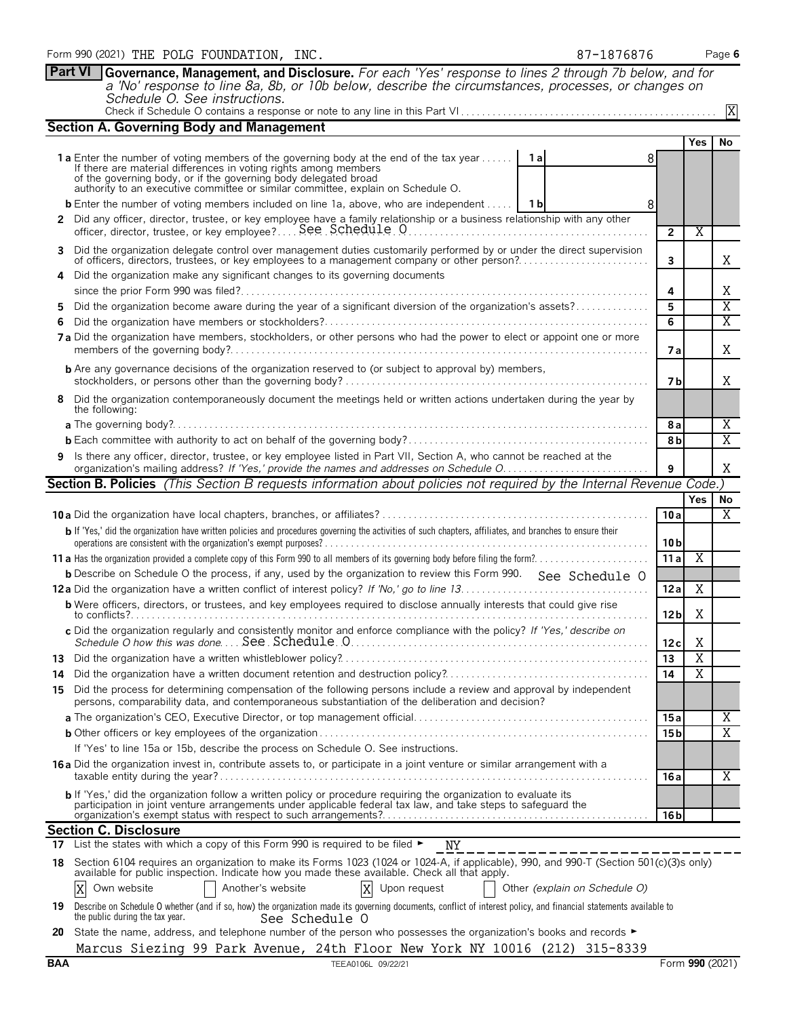|            | <b>Section A. Governing Body and Management</b>                                                                                                                                                                                                                                                                                         |                 |                       |                       |  |  |  |  |  |
|------------|-----------------------------------------------------------------------------------------------------------------------------------------------------------------------------------------------------------------------------------------------------------------------------------------------------------------------------------------|-----------------|-----------------------|-----------------------|--|--|--|--|--|
|            |                                                                                                                                                                                                                                                                                                                                         |                 | <b>Yes</b>            | No                    |  |  |  |  |  |
|            | <b>1a</b> Enter the number of voting members of the governing body at the end of the tax year <b>1a</b><br>8<br>If there are material differences in voting rights among members<br>of the governing body, or if the governing body delegated broad<br>authority to an executive committee or similar committee, explain on Schedule O. |                 |                       |                       |  |  |  |  |  |
|            | <b>b</b> Enter the number of voting members included on line 1a, above, who are independent    1b<br>8                                                                                                                                                                                                                                  |                 |                       |                       |  |  |  |  |  |
|            | 2 Did any officer, director, trustee, or key employee have a family relationship or a business relationship with any other                                                                                                                                                                                                              |                 |                       |                       |  |  |  |  |  |
|            | officer, director, trustee, or key employee? See Schedule 0                                                                                                                                                                                                                                                                             | $\overline{2}$  | X                     |                       |  |  |  |  |  |
| 3          |                                                                                                                                                                                                                                                                                                                                         |                 |                       |                       |  |  |  |  |  |
|            | Did the organization delegate control over management duties customarily performed by or under the direct supervision<br>of officers, directors, trustees, or key employees to a management company or other person?                                                                                                                    | 3               |                       | Χ                     |  |  |  |  |  |
| 4          | Did the organization make any significant changes to its governing documents                                                                                                                                                                                                                                                            |                 |                       |                       |  |  |  |  |  |
|            |                                                                                                                                                                                                                                                                                                                                         | 4               |                       | Χ                     |  |  |  |  |  |
| 5          | Did the organization become aware during the year of a significant diversion of the organization's assets?                                                                                                                                                                                                                              | 5               |                       | Χ                     |  |  |  |  |  |
| 6          |                                                                                                                                                                                                                                                                                                                                         | 6               |                       | $\overline{\text{X}}$ |  |  |  |  |  |
|            | 7a Did the organization have members, stockholders, or other persons who had the power to elect or appoint one or more                                                                                                                                                                                                                  | 7 a             |                       | Χ                     |  |  |  |  |  |
|            | <b>b</b> Are any governance decisions of the organization reserved to (or subject to approval by) members,                                                                                                                                                                                                                              | 7 b             |                       | Χ                     |  |  |  |  |  |
|            | Did the organization contemporaneously document the meetings held or written actions undertaken during the year by<br>the following:                                                                                                                                                                                                    |                 |                       |                       |  |  |  |  |  |
|            |                                                                                                                                                                                                                                                                                                                                         | 8а              |                       | X                     |  |  |  |  |  |
|            |                                                                                                                                                                                                                                                                                                                                         | 8b              |                       | X                     |  |  |  |  |  |
| 9          | Is there any officer, director, trustee, or key employee listed in Part VII, Section A, who cannot be reached at the<br>organization's mailing address? If 'Yes,' provide the names and addresses on Schedule O.                                                                                                                        | 9               |                       | Χ                     |  |  |  |  |  |
|            | Section B. Policies (This Section B requests information about policies not required by the Internal Revenue Code.)                                                                                                                                                                                                                     |                 |                       |                       |  |  |  |  |  |
|            |                                                                                                                                                                                                                                                                                                                                         |                 | Yes                   | No.                   |  |  |  |  |  |
|            |                                                                                                                                                                                                                                                                                                                                         | 10a             |                       | Χ                     |  |  |  |  |  |
|            | b If 'Yes,' did the organization have written policies and procedures governing the activities of such chapters, affiliates, and branches to ensure their                                                                                                                                                                               |                 |                       |                       |  |  |  |  |  |
|            |                                                                                                                                                                                                                                                                                                                                         | 10 <sub>b</sub> |                       |                       |  |  |  |  |  |
|            | 11 a Has the organization provided a complete copy of this Form 990 to all members of its governing body before filing the form?                                                                                                                                                                                                        | 11a             | Χ                     |                       |  |  |  |  |  |
|            | <b>b</b> Describe on Schedule O the process, if any, used by the organization to review this Form 990. See Schedule O                                                                                                                                                                                                                   |                 |                       |                       |  |  |  |  |  |
|            |                                                                                                                                                                                                                                                                                                                                         | 12a             | Χ                     |                       |  |  |  |  |  |
|            | <b>b</b> Were officers, directors, or trustees, and key employees required to disclose annually interests that could give rise                                                                                                                                                                                                          | 12 <sub>b</sub> | Χ                     |                       |  |  |  |  |  |
|            | c Did the organization regularly and consistently monitor and enforce compliance with the policy? If 'Yes,' describe on<br>Schedule O how this was done See Schedule 0.                                                                                                                                                                 | 12c             | Χ                     |                       |  |  |  |  |  |
|            |                                                                                                                                                                                                                                                                                                                                         | 13              | $\overline{X}$        |                       |  |  |  |  |  |
| 14         |                                                                                                                                                                                                                                                                                                                                         | 14              | $\overline{\text{X}}$ |                       |  |  |  |  |  |
| 15         | Did the process for determining compensation of the following persons include a review and approval by independent<br>persons, comparability data, and contemporaneous substantiation of the deliberation and decision?                                                                                                                 |                 |                       |                       |  |  |  |  |  |
|            |                                                                                                                                                                                                                                                                                                                                         | 15 a            |                       | Χ                     |  |  |  |  |  |
|            |                                                                                                                                                                                                                                                                                                                                         | 15 <sub>b</sub> |                       | Χ                     |  |  |  |  |  |
|            | If 'Yes' to line 15a or 15b, describe the process on Schedule O. See instructions.                                                                                                                                                                                                                                                      |                 |                       |                       |  |  |  |  |  |
|            | 16 a Did the organization invest in, contribute assets to, or participate in a joint venture or similar arrangement with a                                                                                                                                                                                                              |                 |                       | Χ                     |  |  |  |  |  |
|            |                                                                                                                                                                                                                                                                                                                                         | 16 a            |                       |                       |  |  |  |  |  |
|            | b If 'Yes,' did the organization follow a written policy or procedure requiring the organization to evaluate its<br>participation in joint venture arrangements under applicable federal tax law, and take steps to safequard the                                                                                                       | 16 bl           |                       |                       |  |  |  |  |  |
|            | <b>Section C. Disclosure</b>                                                                                                                                                                                                                                                                                                            |                 |                       |                       |  |  |  |  |  |
|            | 17 List the states with which a copy of this Form 990 is required to be filed $\blacktriangleright$<br>NY NY                                                                                                                                                                                                                            |                 |                       |                       |  |  |  |  |  |
| 18         | Section 6104 requires an organization to make its Forms 1023 (1024 or 1024-A, if applicable), 990, and 990-T (Section 501(c)(3)s only)<br>available for public inspection. Indicate how you made these available. Check all that apply.                                                                                                 |                 |                       |                       |  |  |  |  |  |
|            | Another's website<br>X<br>Upon request<br>Other (explain on Schedule O)<br>X<br>Own website                                                                                                                                                                                                                                             |                 |                       |                       |  |  |  |  |  |
| 19         | Describe on Schedule O whether (and if so, how) the organization made its governing documents, conflict of interest policy, and financial statements available to<br>the public during the tax year.<br>See Schedule 0                                                                                                                  |                 |                       |                       |  |  |  |  |  |
| 20         | State the name, address, and telephone number of the person who possesses the organization's books and records ►                                                                                                                                                                                                                        |                 |                       |                       |  |  |  |  |  |
|            | Marcus Siezing 99 Park Avenue, 24th Floor New York NY 10016 (212) 315-8339                                                                                                                                                                                                                                                              |                 |                       |                       |  |  |  |  |  |
| <b>BAA</b> | TEEA0106L 09/22/21                                                                                                                                                                                                                                                                                                                      |                 | Form 990 (2021)       |                       |  |  |  |  |  |

**Part VI Governance, Management, and Disclosure.** *For each 'Yes' response to lines 2 through 7b below, and for*

*a 'No' response to line 8a, 8b, or 10b below, describe the circumstances, processes, or changes on*

Check if Schedule O contains a response or note to any line in this Part VI . . . . . . . . . . . . . . . . . . . . . . . . . . . . . . . . . . . . . . . . . . . . . . . . .

*Schedule O. See instructions.*

X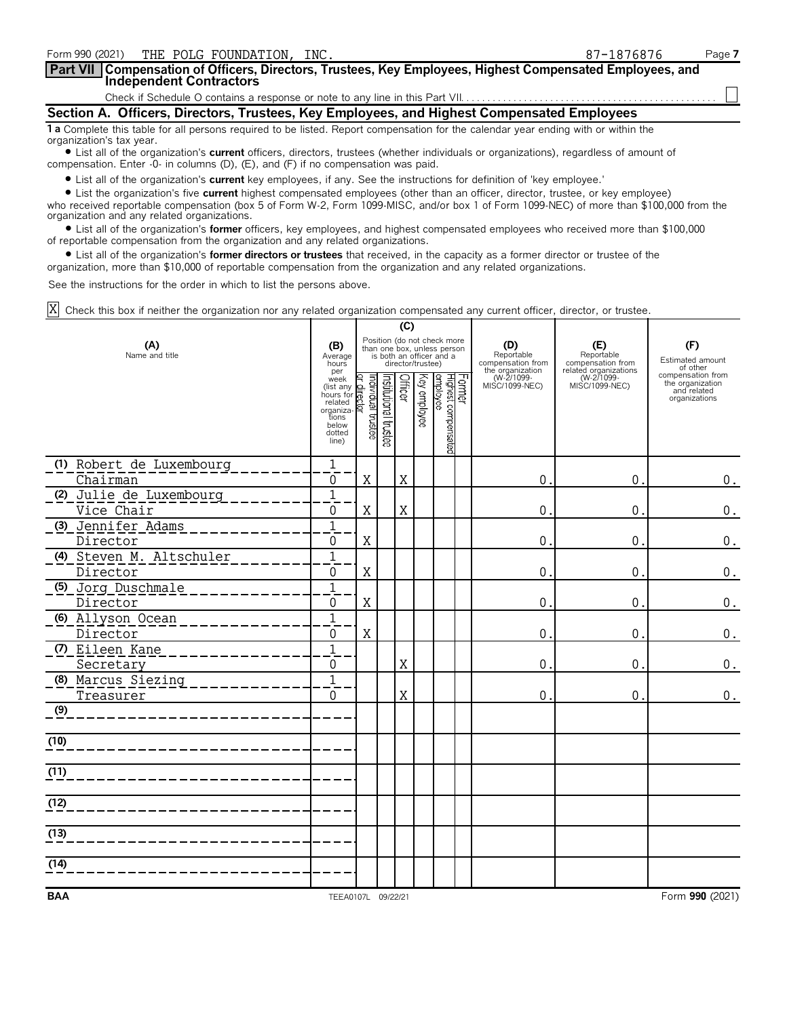| Form 990 (2021) THE POLG FOUNDATION, INC.                                                                                                                      | 87-1876876 | Page 7 |  |  |  |  |
|----------------------------------------------------------------------------------------------------------------------------------------------------------------|------------|--------|--|--|--|--|
| Part VII   Compensation of Officers, Directors, Trustees, Key Employees, Highest Compensated Employees, and<br><b>Independent Contractors</b>                  |            |        |  |  |  |  |
|                                                                                                                                                                |            |        |  |  |  |  |
| Section A. Officers, Directors, Trustees, Key Employees, and Highest Compensated Employees                                                                     |            |        |  |  |  |  |
| 1 a Complete this table for all persons required to be listed. Report compensation for the calendar year ending with or within the<br>organization's tax year. |            |        |  |  |  |  |
| • List all of the organization's <b>current</b> officers, directors, trustees (whether individuals or organizations), regardless of amount of                  |            |        |  |  |  |  |

compensation. Enter -0- in columns (D), (E), and (F) if no compensation was paid.

? List all of the organization's **current** key employees, if any. See the instructions for definition of 'key employee.'

? List the organization's five **current** highest compensated employees (other than an officer, director, trustee, or key employee) who received reportable compensation (box 5 of Form W-2, Form 1099-MISC, and/or box 1 of Form 1099-NEC) of more than \$100,000 from the organization and any related organizations.

? List all of the organization's **former** officers, key employees, and highest compensated employees who received more than \$100,000 of reportable compensation from the organization and any related organizations.

? List all of the organization's **former directors or trustees** that received, in the capacity as a former director or trustee of the organization, more than \$10,000 of reportable compensation from the organization and any related organizations.

See the instructions for the order in which to list the persons above.

Check this box if neither the organization nor any related organization compensated any current officer, director, or trustee. X

|                          | (C)                                                                                                                                              |         |                                                                                                             |             |              |                                             |  |                                                  |                                                       |                                                                       |
|--------------------------|--------------------------------------------------------------------------------------------------------------------------------------------------|---------|-------------------------------------------------------------------------------------------------------------|-------------|--------------|---------------------------------------------|--|--------------------------------------------------|-------------------------------------------------------|-----------------------------------------------------------------------|
| (A)<br>Name and title    |                                                                                                                                                  |         | Position (do not check more<br>than one box, unless person<br>is both an officer and a<br>director/trustee) |             |              |                                             |  | (D)<br>Reportable<br>compensation from           | (E)<br>Reportable<br>compensation from                | (F)<br>Estimated amount<br>of other                                   |
|                          | per<br>per<br>(list any der distance)<br>(list any der distance)<br>hours for related<br>organiza-<br>tions<br>below<br>dotted<br>line)<br>line) |         | Institutional trustee                                                                                       | Officer     | Key employee | Former<br> Highest compensated<br> employee |  | the organization<br>(W-2/1099-<br>MISC/1099-NEC) | related organizations<br>(W-2/1099-<br>MISC/1099-NEC) | compensation from<br>the organization<br>and related<br>organizations |
| (1) Robert de Luxembourg | $\mathbf 1$                                                                                                                                      |         |                                                                                                             |             |              |                                             |  |                                                  |                                                       |                                                                       |
| Chairman                 | $\Omega$                                                                                                                                         | $\rm X$ |                                                                                                             | $\rm X$     |              |                                             |  | $\mathbf 0$                                      | $\mathbf 0$ .                                         | $0$ .                                                                 |
| (2) Julie de Luxembourg  | $\overline{1}$                                                                                                                                   |         |                                                                                                             |             |              |                                             |  |                                                  |                                                       |                                                                       |
| Vice Chair               | 0                                                                                                                                                | X       |                                                                                                             | $\mathbf X$ |              |                                             |  | 0                                                | 0.                                                    | $0$ .                                                                 |
| (3) Jennifer Adams       | $\overline{1}$                                                                                                                                   |         |                                                                                                             |             |              |                                             |  |                                                  |                                                       |                                                                       |
| Director                 | 0                                                                                                                                                | X       |                                                                                                             |             |              |                                             |  | $\mathbf 0$                                      | $\mathbf{0}$                                          | $0$ .                                                                 |
| (4) Steven M. Altschuler | $\overline{1}$                                                                                                                                   |         |                                                                                                             |             |              |                                             |  |                                                  |                                                       |                                                                       |
| Director                 | 0                                                                                                                                                | X       |                                                                                                             |             |              |                                             |  | $\boldsymbol{0}$                                 | $\mathbf{0}$                                          | $\boldsymbol{0}$ .                                                    |
| (5) Jorg Duschmale       | $\overline{1}$                                                                                                                                   |         |                                                                                                             |             |              |                                             |  |                                                  |                                                       |                                                                       |
| Director                 | 0                                                                                                                                                | X       |                                                                                                             |             |              |                                             |  | $\mathbf 0$                                      | $\mathbf{0}$                                          | $\boldsymbol{0}$ .                                                    |
| (6) Allyson Ocean        | $\overline{1}$                                                                                                                                   |         |                                                                                                             |             |              |                                             |  |                                                  |                                                       |                                                                       |
| Director                 | 0                                                                                                                                                | X       |                                                                                                             |             |              |                                             |  | $\mathbf 0$                                      | $\mathbf{0}$                                          | $\boldsymbol{0}$ .                                                    |
| (7) Eileen Kane          |                                                                                                                                                  |         |                                                                                                             |             |              |                                             |  |                                                  |                                                       |                                                                       |
| Secretary                | 0                                                                                                                                                |         |                                                                                                             | $\mathbf X$ |              |                                             |  | $\boldsymbol{0}$                                 | $\mathbf{0}$                                          | $\boldsymbol{0}$ .                                                    |
| (8) Marcus Siezing       | $\overline{1}$                                                                                                                                   |         |                                                                                                             |             |              |                                             |  |                                                  |                                                       |                                                                       |
| Treasurer                | $\overline{0}$                                                                                                                                   |         |                                                                                                             | X           |              |                                             |  | $\mathbf{0}$                                     | 0.                                                    | $\boldsymbol{0}$ .                                                    |
| (9)                      |                                                                                                                                                  |         |                                                                                                             |             |              |                                             |  |                                                  |                                                       |                                                                       |
| (10)                     |                                                                                                                                                  |         |                                                                                                             |             |              |                                             |  |                                                  |                                                       |                                                                       |
| (11)                     |                                                                                                                                                  |         |                                                                                                             |             |              |                                             |  |                                                  |                                                       |                                                                       |
| (12)                     |                                                                                                                                                  |         |                                                                                                             |             |              |                                             |  |                                                  |                                                       |                                                                       |
| (13)                     |                                                                                                                                                  |         |                                                                                                             |             |              |                                             |  |                                                  |                                                       |                                                                       |
| (14)                     |                                                                                                                                                  |         |                                                                                                             |             |              |                                             |  |                                                  |                                                       |                                                                       |
| <b>BAA</b>               | TEEA0107L 09/22/21                                                                                                                               |         |                                                                                                             |             |              |                                             |  |                                                  |                                                       | Form 990 (2021)                                                       |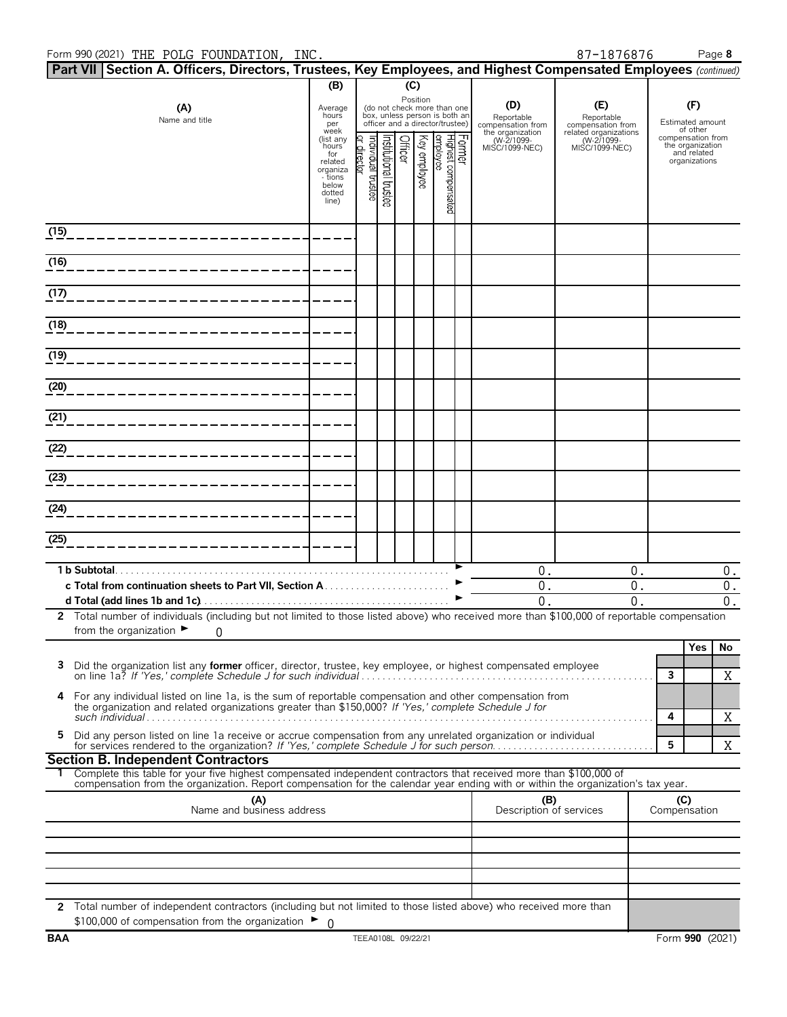|                                  | Part VII Section A. Officers, Directors, Trustees, Key Employees, and Highest Compensated Employees (continued)                                                                                 |                                                                                         |                                  |                                                                                                             |         |                                |                                 |                                        |                                                  |                                                       |                                     |                                                                       |       |
|----------------------------------|-------------------------------------------------------------------------------------------------------------------------------------------------------------------------------------------------|-----------------------------------------------------------------------------------------|----------------------------------|-------------------------------------------------------------------------------------------------------------|---------|--------------------------------|---------------------------------|----------------------------------------|--------------------------------------------------|-------------------------------------------------------|-------------------------------------|-----------------------------------------------------------------------|-------|
|                                  |                                                                                                                                                                                                 | (B)                                                                                     |                                  |                                                                                                             | (C)     |                                |                                 |                                        |                                                  |                                                       |                                     |                                                                       |       |
|                                  | (A)<br>Name and title                                                                                                                                                                           | Average<br>hours<br>per<br>week                                                         |                                  | Position<br>(do not check more than one<br>box, unless person is both an<br>officer and a director/trustee) |         |                                |                                 | (D)<br>Reportable<br>compensation from | (E)<br>Reportable<br>compensation from           |                                                       | (F)<br>Estimated amount<br>of other |                                                                       |       |
|                                  |                                                                                                                                                                                                 | (list any<br>hours<br>for<br>related<br>organiza<br>- tions<br>below<br>dotted<br>line) | or director<br>ndividual trustee | nstitutional trustee                                                                                        | Officer | Key employee                   | Highest compensated<br>employee | Former                                 | the organization<br>(W-2/1099-<br>MISC/1099-NEC) | related organizations<br>(W-2/1099-<br>MISC/1099-NEC) |                                     | compensation from<br>the organization<br>and related<br>organizations |       |
| (15)                             |                                                                                                                                                                                                 |                                                                                         |                                  |                                                                                                             |         |                                |                                 |                                        |                                                  |                                                       |                                     |                                                                       |       |
| (16)                             |                                                                                                                                                                                                 |                                                                                         |                                  |                                                                                                             |         |                                |                                 |                                        |                                                  |                                                       |                                     |                                                                       |       |
| (17)                             |                                                                                                                                                                                                 |                                                                                         |                                  |                                                                                                             |         |                                |                                 |                                        |                                                  |                                                       |                                     |                                                                       |       |
| (18)                             |                                                                                                                                                                                                 |                                                                                         |                                  |                                                                                                             |         |                                |                                 |                                        |                                                  |                                                       |                                     |                                                                       |       |
| (19)                             |                                                                                                                                                                                                 |                                                                                         |                                  |                                                                                                             |         |                                |                                 |                                        |                                                  |                                                       |                                     |                                                                       |       |
| (20)                             |                                                                                                                                                                                                 |                                                                                         |                                  |                                                                                                             |         |                                |                                 |                                        |                                                  |                                                       |                                     |                                                                       |       |
| (21)                             |                                                                                                                                                                                                 |                                                                                         |                                  |                                                                                                             |         |                                |                                 |                                        |                                                  |                                                       |                                     |                                                                       |       |
| (22)                             |                                                                                                                                                                                                 |                                                                                         |                                  |                                                                                                             |         |                                |                                 |                                        |                                                  |                                                       |                                     |                                                                       |       |
| (23)                             |                                                                                                                                                                                                 |                                                                                         |                                  |                                                                                                             |         |                                |                                 |                                        |                                                  |                                                       |                                     |                                                                       |       |
| (24)                             |                                                                                                                                                                                                 |                                                                                         |                                  |                                                                                                             |         |                                |                                 |                                        |                                                  |                                                       |                                     |                                                                       |       |
| (25)                             |                                                                                                                                                                                                 |                                                                                         |                                  |                                                                                                             |         |                                |                                 |                                        |                                                  |                                                       |                                     |                                                                       |       |
|                                  | 1 b Subtotal                                                                                                                                                                                    |                                                                                         |                                  |                                                                                                             |         |                                |                                 |                                        | 0.                                               | 0.                                                    |                                     |                                                                       | $0$ . |
|                                  |                                                                                                                                                                                                 |                                                                                         |                                  |                                                                                                             |         |                                |                                 |                                        | 0.                                               | 0.                                                    |                                     |                                                                       | 0.    |
|                                  |                                                                                                                                                                                                 |                                                                                         |                                  |                                                                                                             |         |                                |                                 |                                        | $\mathbf{0}$ .                                   | $\mathbf{0}$ .                                        |                                     |                                                                       | 0.    |
|                                  | 2 Total number of individuals (including but not limited to those listed above) who received more than \$100,000 of reportable compensation<br>from the organization $\blacktriangleright$<br>0 |                                                                                         |                                  |                                                                                                             |         |                                |                                 |                                        |                                                  |                                                       |                                     |                                                                       |       |
|                                  |                                                                                                                                                                                                 |                                                                                         |                                  |                                                                                                             |         |                                |                                 |                                        |                                                  |                                                       |                                     | Yes                                                                   | No    |
|                                  | Did the organization list any <b>former</b> officer, director, trustee, key employee, or highest compensated employee                                                                           |                                                                                         |                                  |                                                                                                             |         |                                |                                 |                                        |                                                  |                                                       | 3                                   |                                                                       | X     |
|                                  | 4 For any individual listed on line 1a, is the sum of reportable compensation and other compensation from                                                                                       |                                                                                         |                                  |                                                                                                             |         |                                |                                 |                                        |                                                  |                                                       |                                     |                                                                       |       |
|                                  | the organization and related organizations greater than \$150,000? If 'Yes,' complete Schedule J for                                                                                            |                                                                                         |                                  |                                                                                                             |         |                                |                                 |                                        |                                                  |                                                       | 4                                   |                                                                       | X     |
| 5.                               | Did any person listed on line 1a receive or accrue compensation from any unrelated organization or individual                                                                                   |                                                                                         |                                  |                                                                                                             |         |                                |                                 |                                        |                                                  |                                                       | 5                                   |                                                                       | X     |
|                                  | <b>Section B. Independent Contractors</b><br>Complete this table for your five highest compensated independent contractors that received more than \$100,000 of                                 |                                                                                         |                                  |                                                                                                             |         |                                |                                 |                                        |                                                  |                                                       |                                     |                                                                       |       |
|                                  | compensation from the organization. Report compensation for the calendar year ending with or within the organization's tax year.                                                                |                                                                                         |                                  |                                                                                                             |         |                                |                                 |                                        |                                                  |                                                       |                                     |                                                                       |       |
| (A)<br>Name and business address |                                                                                                                                                                                                 |                                                                                         |                                  |                                                                                                             |         | (B)<br>Description of services |                                 | Compensation                           | (C)                                              |                                                       |                                     |                                                                       |       |
|                                  |                                                                                                                                                                                                 |                                                                                         |                                  |                                                                                                             |         |                                |                                 |                                        |                                                  |                                                       |                                     |                                                                       |       |
|                                  |                                                                                                                                                                                                 |                                                                                         |                                  |                                                                                                             |         |                                |                                 |                                        |                                                  |                                                       |                                     |                                                                       |       |
|                                  |                                                                                                                                                                                                 |                                                                                         |                                  |                                                                                                             |         |                                |                                 |                                        |                                                  |                                                       |                                     |                                                                       |       |
|                                  |                                                                                                                                                                                                 |                                                                                         |                                  |                                                                                                             |         |                                |                                 |                                        |                                                  |                                                       |                                     |                                                                       |       |
|                                  | 2 Total number of independent contractors (including but not limited to those listed above) who received more than<br>\$100,000 of compensation from the organization $\blacktriangleright$ 0   |                                                                                         |                                  |                                                                                                             |         |                                |                                 |                                        |                                                  |                                                       |                                     |                                                                       |       |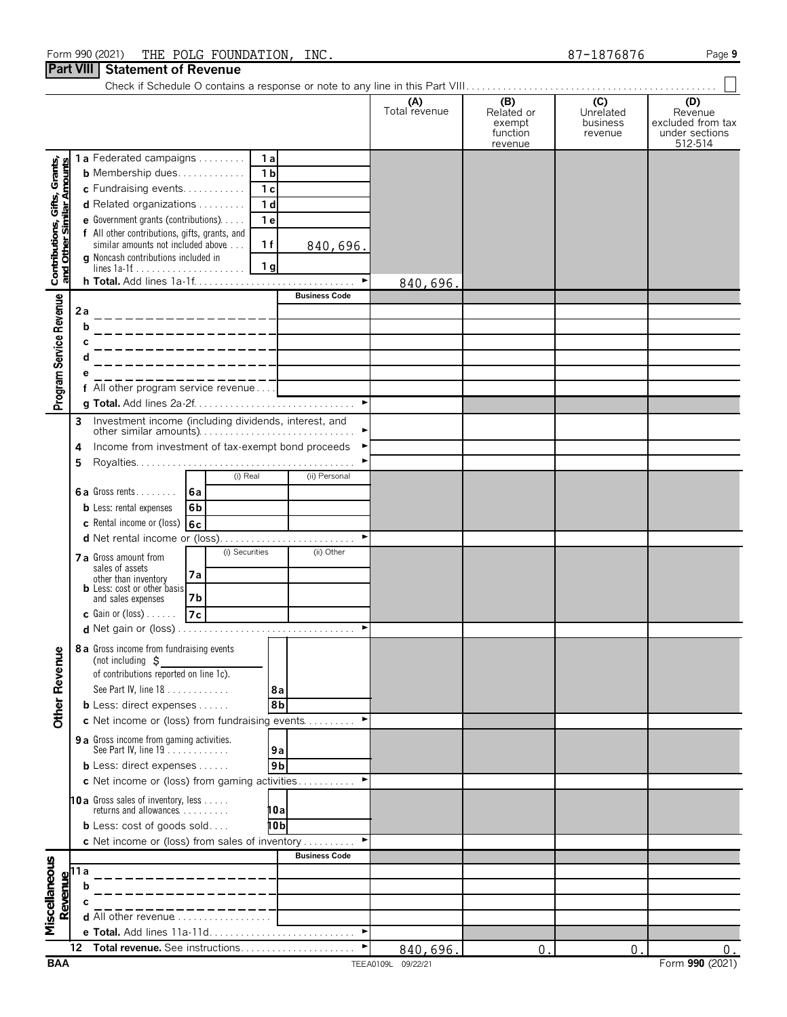### Form 990 (2021) Page **9** THE POLG FOUNDATION, INC. 87-1876876 **Part VIII Statement of Revenue**

| $\mathbf{u}$ , $\mathbf{v}$ in $\mathbf{v}$                |        | uningin vi nuvu                                                                        |                       |                      |                                                    |                                         |                                                                  |
|------------------------------------------------------------|--------|----------------------------------------------------------------------------------------|-----------------------|----------------------|----------------------------------------------------|-----------------------------------------|------------------------------------------------------------------|
|                                                            |        |                                                                                        |                       | (A)<br>Total revenue | (B)<br>Related or<br>exempt<br>function<br>revenue | (C)<br>Unrelated<br>business<br>revenue | (D)<br>Revenue<br>excluded from tax<br>under sections<br>512-514 |
|                                                            |        | 1a Federated campaigns                                                                 | 1a                    |                      |                                                    |                                         |                                                                  |
| Contributions, Gifts, Grants,<br>and Other Similar Amounts |        | <b>b</b> Membership dues                                                               | 1 <sub>b</sub>        |                      |                                                    |                                         |                                                                  |
|                                                            |        | c Fundraising events                                                                   | 1 <sub>c</sub>        |                      |                                                    |                                         |                                                                  |
|                                                            |        | d Related organizations                                                                | 1 <sub>d</sub>        |                      |                                                    |                                         |                                                                  |
|                                                            |        | e Government grants (contributions)                                                    | 1 <sub>e</sub>        |                      |                                                    |                                         |                                                                  |
|                                                            |        | f All other contributions, gifts, grants, and<br>similar amounts not included above    | 1f<br>840,696.        |                      |                                                    |                                         |                                                                  |
|                                                            |        | g Noncash contributions included in                                                    |                       |                      |                                                    |                                         |                                                                  |
|                                                            |        | lines $1a-1f$                                                                          | 1 <sub>g</sub>        |                      |                                                    |                                         |                                                                  |
|                                                            |        |                                                                                        | <b>Business Code</b>  | 840,696.             |                                                    |                                         |                                                                  |
| Program Service Revenue                                    | 2а     |                                                                                        |                       |                      |                                                    |                                         |                                                                  |
|                                                            |        | b                                                                                      |                       |                      |                                                    |                                         |                                                                  |
|                                                            |        |                                                                                        |                       |                      |                                                    |                                         |                                                                  |
|                                                            |        |                                                                                        |                       |                      |                                                    |                                         |                                                                  |
|                                                            |        |                                                                                        |                       |                      |                                                    |                                         |                                                                  |
|                                                            |        | f All other program service revenue                                                    |                       |                      |                                                    |                                         |                                                                  |
|                                                            |        |                                                                                        | $\blacktriangleright$ |                      |                                                    |                                         |                                                                  |
|                                                            | 3      | Investment income (including dividends, interest, and                                  |                       |                      |                                                    |                                         |                                                                  |
|                                                            |        | other similar amounts)<br>Income from investment of tax-exempt bond proceeds           |                       |                      |                                                    |                                         |                                                                  |
|                                                            | 4<br>5 |                                                                                        |                       |                      |                                                    |                                         |                                                                  |
|                                                            |        | (i) Real                                                                               | (ii) Personal         |                      |                                                    |                                         |                                                                  |
|                                                            |        | 6a Gross rents<br>l 6a                                                                 |                       |                      |                                                    |                                         |                                                                  |
|                                                            |        | <b>b</b> Less: rental expenses<br>6b                                                   |                       |                      |                                                    |                                         |                                                                  |
|                                                            |        | c Rental income or (loss)<br>6c                                                        |                       |                      |                                                    |                                         |                                                                  |
|                                                            |        | d Net rental income or (loss)                                                          | ►                     |                      |                                                    |                                         |                                                                  |
|                                                            |        | (i) Securities<br><b>7 a</b> Gross amount from                                         | (ii) Other            |                      |                                                    |                                         |                                                                  |
|                                                            |        | sales of assets<br>7a                                                                  |                       |                      |                                                    |                                         |                                                                  |
|                                                            |        | other than inventory<br><b>b</b> Less: cost or other basis                             |                       |                      |                                                    |                                         |                                                                  |
|                                                            |        | 7b<br>and sales expenses                                                               |                       |                      |                                                    |                                         |                                                                  |
|                                                            |        | 7c<br><b>c</b> Gain or (loss) $\ldots$ .                                               |                       |                      |                                                    |                                         |                                                                  |
|                                                            |        |                                                                                        |                       |                      |                                                    |                                         |                                                                  |
|                                                            |        | 8 a Gross income from fundraising events<br>(not including $\zeta$                     |                       |                      |                                                    |                                         |                                                                  |
| <b>Other Revenue</b>                                       |        | of contributions reported on line 1c).                                                 |                       |                      |                                                    |                                         |                                                                  |
|                                                            |        | See Part IV, line 18                                                                   | 8а                    |                      |                                                    |                                         |                                                                  |
|                                                            |        | <b>b</b> Less: direct expenses $\ldots$ .                                              | 8b                    |                      |                                                    |                                         |                                                                  |
|                                                            |        | c Net income or (loss) from fundraising events                                         |                       |                      |                                                    |                                         |                                                                  |
|                                                            |        | 9 a Gross income from gaming activities.                                               |                       |                      |                                                    |                                         |                                                                  |
|                                                            |        | See Part IV, line $19$                                                                 | 9а                    |                      |                                                    |                                         |                                                                  |
|                                                            |        | <b>b</b> Less: direct expenses $\ldots$ .                                              | 9 <sub>b</sub>        |                      |                                                    |                                         |                                                                  |
|                                                            |        | c Net income or (loss) from gaming activities                                          |                       |                      |                                                    |                                         |                                                                  |
|                                                            |        | 10a Gross sales of inventory, less                                                     |                       |                      |                                                    |                                         |                                                                  |
|                                                            |        | returns and allowances                                                                 | 10a                   |                      |                                                    |                                         |                                                                  |
|                                                            |        | <b>b</b> Less: $cost$ of goods $sol$<br>c Net income or (loss) from sales of inventory | 10b                   |                      |                                                    |                                         |                                                                  |
|                                                            |        |                                                                                        | <b>Business Code</b>  |                      |                                                    |                                         |                                                                  |
| Miscellaneous                                              | 11 a   |                                                                                        |                       |                      |                                                    |                                         |                                                                  |
| Revenue                                                    |        |                                                                                        |                       |                      |                                                    |                                         |                                                                  |
|                                                            |        |                                                                                        |                       |                      |                                                    |                                         |                                                                  |
|                                                            |        | d All other revenue                                                                    |                       |                      |                                                    |                                         |                                                                  |
|                                                            |        |                                                                                        |                       |                      |                                                    |                                         |                                                                  |
|                                                            |        | 12 Total revenue. See instructions                                                     |                       | 840,696.             | $\mathbf{0}$                                       | $\mathbf{0}$                            | $0$ .                                                            |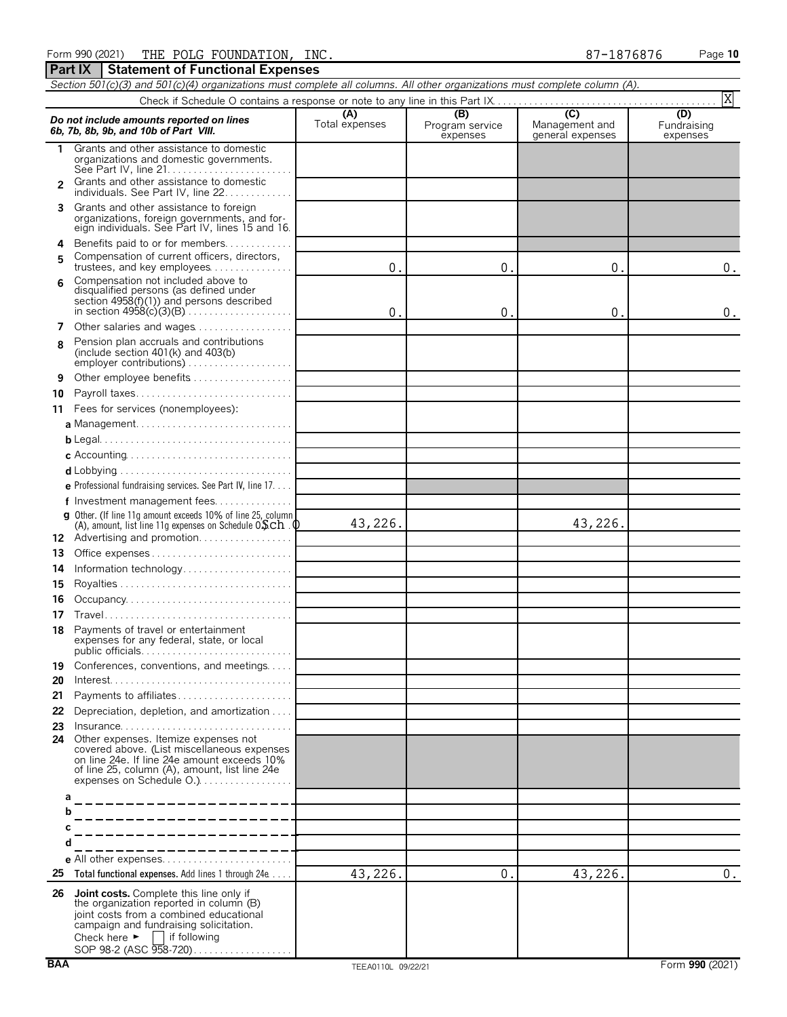Form 990 (2021) Page **10** THE POLG FOUNDATION, INC. 87-1876876

**Part IX** Statement of Functional Expenses

*Section 501(c)(3) and 501(c)(4) organizations must complete all columns. All other organizations must complete column (A).*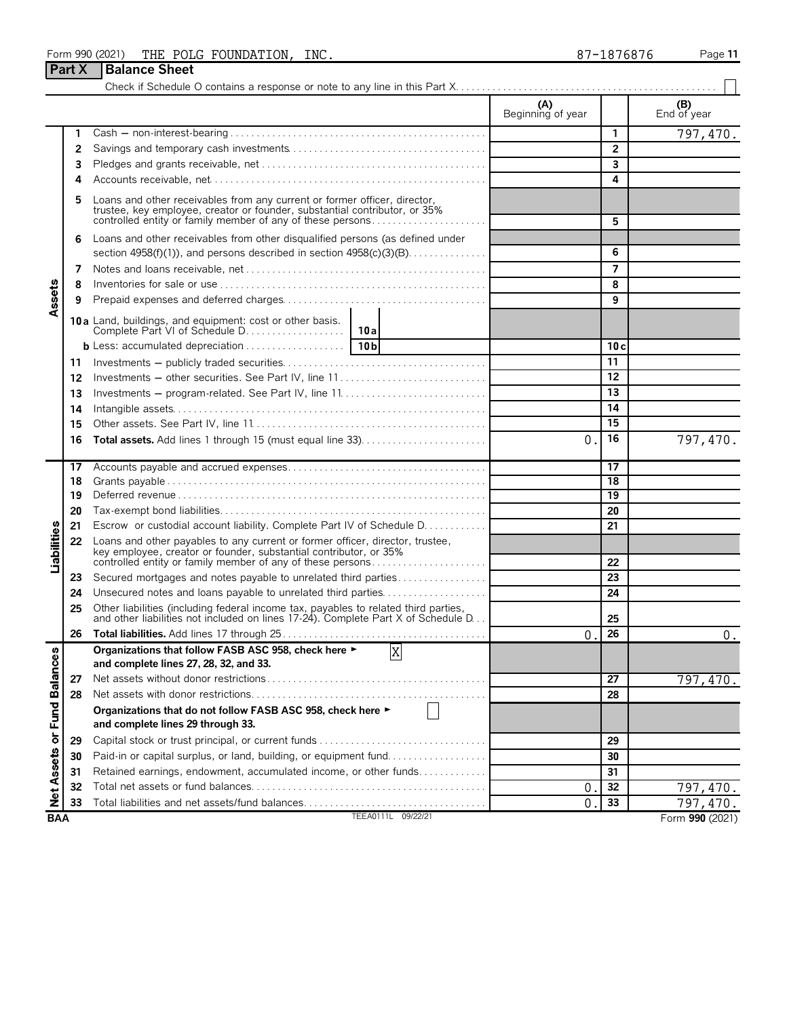| Form 990 (2021) | POLG<br>FOUNDATION,<br>THE | INC. | 1876876<br>$87 - 3$ | Page 11 |
|-----------------|----------------------------|------|---------------------|---------|
|-----------------|----------------------------|------|---------------------|---------|

**Part X** Balance Sheet

#### Check if Schedule O contains a response or note to any line in this Part X. . . . . . . . . . . . . . . . . . . . . . . . . . . . . . . . . . . . . . . . . . . . . . . . . . **(A) (B) (B) (B) (B) End of year** Beginning of year **1** Cash ' non-interest-bearing . . . . . . . . . . . . . . . . . . . . . . . . . . . . . . . . . . . . . . . . . . . . . . . . . **1** 797,470. **2** Savings and temporary cash investments. . . . . . . . . . . . . . . . . . . . . . . . . . . . . . . . . . . . . . **2 3** Pledges and grants receivable, net. . . . . . . . . . . . . . . . . . . . . . . . . . . . . . . . . . . . . . . . . . . . **3 4** Accounts receivable, net. . . . . . . . . . . . . . . . . . . . . . . . . . . . . . . . . . . . . . . . . . . . . . . . . . . . . **4 5** Loans and other receivables from any current or former officer, director, trustee, key employee, creator or founder, substantial contributor, or 35% controlled entity or family member of any of these persons. . . . . . . . . . . . . . . . . . . . . . **5 6** Loans and other receivables from other disqualified persons (as defined under section 4958(f)(1)), and persons described in section 4958(c)(3)(B). . . . . . . . . . . . . . . **6 7** Notes and loans receivable, net. . . . . . . . . . . . . . . . . . . . . . . . . . . . . . . . . . . . . . . . . . . . . . . **7 8** Inventories for sale or use . . . . . . . . . . . . . . . . . . . . . . . . . . . . . . . . . . . . . . . . . . . . . . . . . . . **8** Assets **9** Prepaid expenses and deferred charges. . . . . . . . . . . . . . . . . . . . . . . . . . . . . . . . . . . . . . . **9 10 a** Land, buildings, and equipment: cost or other basis. Complete Part VI of Schedule D. . . . . . . . . . . . . . . . . . . **10a b** Less: accumulated depreciation. . . . . . . . . . . . . . . . . . . . **10b 10 c 11** Investments ' publicly traded securities. . . . . . . . . . . . . . . . . . . . . . . . . . . . . . . . . . . . . . . **11 12** Investments ' other securities. See Part IV, line 11 . . . . . . . . . . . . . . . . . . . . . . . . . . . . **12 13** Investments ' program-related. See Part IV, line 11. . . . . . . . . . . . . . . . . . . . . . . . . . . . **13 14** Intangible assets. . . . . . . . . . . . . . . . . . . . . . . . . . . . . . . . . . . . . . . . . . . . . . . . . . . . . . . . . . . . **14 15** Other assets. See Part IV, line 11. . . . . . . . . . . . . . . . . . . . . . . . . . . . . . . . . . . . . . . . . . . . . **15 16 Total assets.** Add lines 1 through 15 (must equal line 33). . . . . . . . . . . . . . . . . . . . . . . . **16** 0. 797,470. **17** Accounts payable and accrued expenses. . . . . . . . . . . . . . . . . . . . . . . . . . . . . . . . . . . . . . **17 18** Grants payable . . . . . . . . . . . . . . . . . . . . . . . . . . . . . . . . . . . . . . . . . . . . . . . . . . . . . . . . . . . . . **18 19** Deferred revenue . . . . . . . . . . . . . . . . . . . . . . . . . . . . . . . . . . . . . . . . . . . . . . . . . . . . . . . . . . . **19 20** Tax-exempt bond liabilities. . . . . . . . . . . . . . . . . . . . . . . . . . . . . . . . . . . . . . . . . . . . . . . . . . . **20 21** Escrow or custodial account liability. Complete Part IV of Schedule D. . . . . . . . . . . . **21** Liabilities **22** Loans and other payables to any current or former officer, director, trustee, key employee, creator or founder, substantial contributor, or 35% controlled entity or family member of any of these persons. . . . . . . . . . . . . . . . . . . . . . **22 23** Secured mortgages and notes payable to unrelated third parties . . . . . . . . . . . . . . . . . **23 24** Unsecured notes and loans payable to unrelated third parties. . . . . . . . . . . . . . . . . . . . **24 25** Other liabilities (including federal income tax, payables to related third parties, and other liabilities not included on lines 17-24). Complete Part X of Schedule D. . . **25 26 Total liabilities.** Add lines 17 through 25 . . . . . . . . . . . . . . . . . . . . . . . . . . . . . . . . . . . . . . . **26**  $0.26$  0. **Organizations that follow FASB ASC 958, check here** G X or Fund Balances **and complete lines 27, 28, 32, and 33. 27** Net assets without donor restrictions. . . . . . . . . . . . . . . . . . . . . . . . . . . . . . . . . . . . . . . . . . **27** 797,470. **28** Net assets with donor restrictions. . . . . . . . . . . . . . . . . . . . . . . . . . . . . . . . . . . . . . . . . . . . . **28 Organizations that do not follow FASB ASC 958, check here** G **and complete lines 29 through 33. 29** Capital stock or trust principal, or current funds. . . . . . . . . . . . . . . . . . . . . . . . . . . . . . . . . **29 Net Assets 30** Paid-in or capital surplus, or land, building, or equipment fund. . . . . . . . . . . . . . . . . . . **30 31** Retained earnings, endowment, accumulated income, or other funds. . . . . . . . . . . . . **31 32** Total net assets or fund balances. . . . . . . . . . . . . . . . . . . . . . . . . . . . . . . . . . . . . . . . . . . . . **32** 0. 797,470. **33** Total liabilities and net assets/fund balances. . . . . . . . . . . . . . . . . . . . . . . . . . . . . . . . . . . **33** 0. 797,470.

**BAA** TEEA0111L 09/22/21 Form **990** (2021)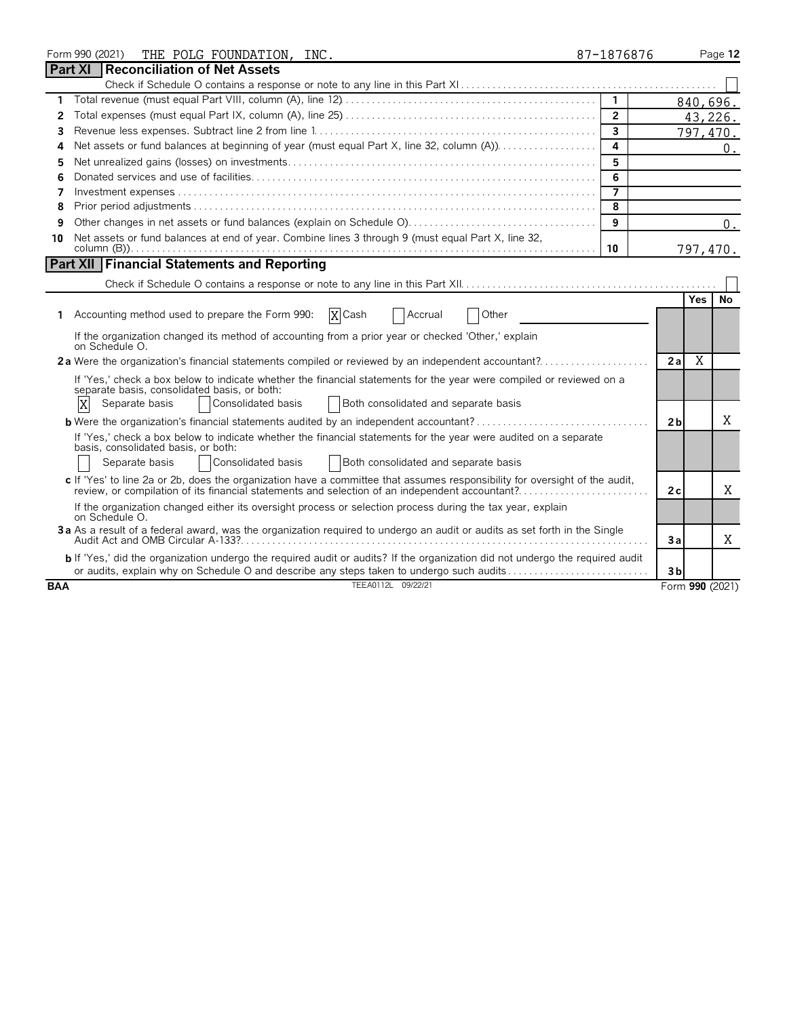|            | Form 990 (2021)<br>THE POLG FOUNDATION, INC.                                                                                                                                                                                                              | 87-1876876     |                |            | Page 12         |
|------------|-----------------------------------------------------------------------------------------------------------------------------------------------------------------------------------------------------------------------------------------------------------|----------------|----------------|------------|-----------------|
|            | <b>Part XI</b><br>Reconciliation of Net Assets                                                                                                                                                                                                            |                |                |            |                 |
|            |                                                                                                                                                                                                                                                           |                |                |            |                 |
|            |                                                                                                                                                                                                                                                           | $\overline{1}$ |                |            | 840,696.        |
| 2          |                                                                                                                                                                                                                                                           | $\overline{2}$ |                |            | 43,226.         |
| 3          |                                                                                                                                                                                                                                                           | $\overline{3}$ |                |            | 797,470.        |
| 4          |                                                                                                                                                                                                                                                           | 4              |                |            | $0$ .           |
| 5          |                                                                                                                                                                                                                                                           | 5              |                |            |                 |
| 6          |                                                                                                                                                                                                                                                           | 6              |                |            |                 |
| 7          |                                                                                                                                                                                                                                                           | $\overline{ }$ |                |            |                 |
| 8          |                                                                                                                                                                                                                                                           | 8              |                |            |                 |
| 9          |                                                                                                                                                                                                                                                           | 9              |                |            | 0.              |
| 10         | Net assets or fund balances at end of year. Combine lines 3 through 9 (must equal Part X, line 32,                                                                                                                                                        | 10             |                |            | 797,470.        |
|            | <b>Part XII Financial Statements and Reporting</b>                                                                                                                                                                                                        |                |                |            |                 |
|            |                                                                                                                                                                                                                                                           |                |                |            |                 |
|            |                                                                                                                                                                                                                                                           |                |                | <b>Yes</b> | No              |
| 1          | X Cash<br>Accounting method used to prepare the Form 990:<br>Other<br>Accrual                                                                                                                                                                             |                |                |            |                 |
|            | If the organization changed its method of accounting from a prior year or checked 'Other,' explain<br>on Schedule O.                                                                                                                                      |                |                |            |                 |
|            | 2a Were the organization's financial statements compiled or reviewed by an independent accountant?                                                                                                                                                        |                | 2a             | X          |                 |
|            | If 'Yes,' check a box below to indicate whether the financial statements for the year were compiled or reviewed on a<br>separate basis, consolidated basis, or both:<br>X<br>Consolidated basis<br>Both consolidated and separate basis<br>Separate basis |                |                |            |                 |
|            |                                                                                                                                                                                                                                                           |                | 2 <sub>b</sub> |            | X               |
|            |                                                                                                                                                                                                                                                           |                |                |            |                 |
|            | If 'Yes,' check a box below to indicate whether the financial statements for the year were audited on a separate<br>basis, consolidated basis, or both:                                                                                                   |                |                |            |                 |
|            | Separate basis<br>Consolidated basis<br>Both consolidated and separate basis                                                                                                                                                                              |                |                |            |                 |
|            | c If 'Yes' to line 2a or 2b, does the organization have a committee that assumes responsibility for oversight of the audit,                                                                                                                               |                | 2 c            |            | Χ               |
|            | If the organization changed either its oversight process or selection process during the tax year, explain<br>on Schedule O.                                                                                                                              |                |                |            |                 |
|            | 3a As a result of a federal award, was the organization required to undergo an audit or audits as set forth in the Single                                                                                                                                 |                | Зa             |            | Χ               |
|            | <b>b</b> If 'Yes,' did the organization undergo the required audit or audits? If the organization did not undergo the required audit<br>or audits, explain why on Schedule O and describe any steps taken to undergo such audits                          |                | 3 <sub>b</sub> |            |                 |
| <b>BAA</b> | TEEA0112L 09/22/21                                                                                                                                                                                                                                        |                |                |            | Form 990 (2021) |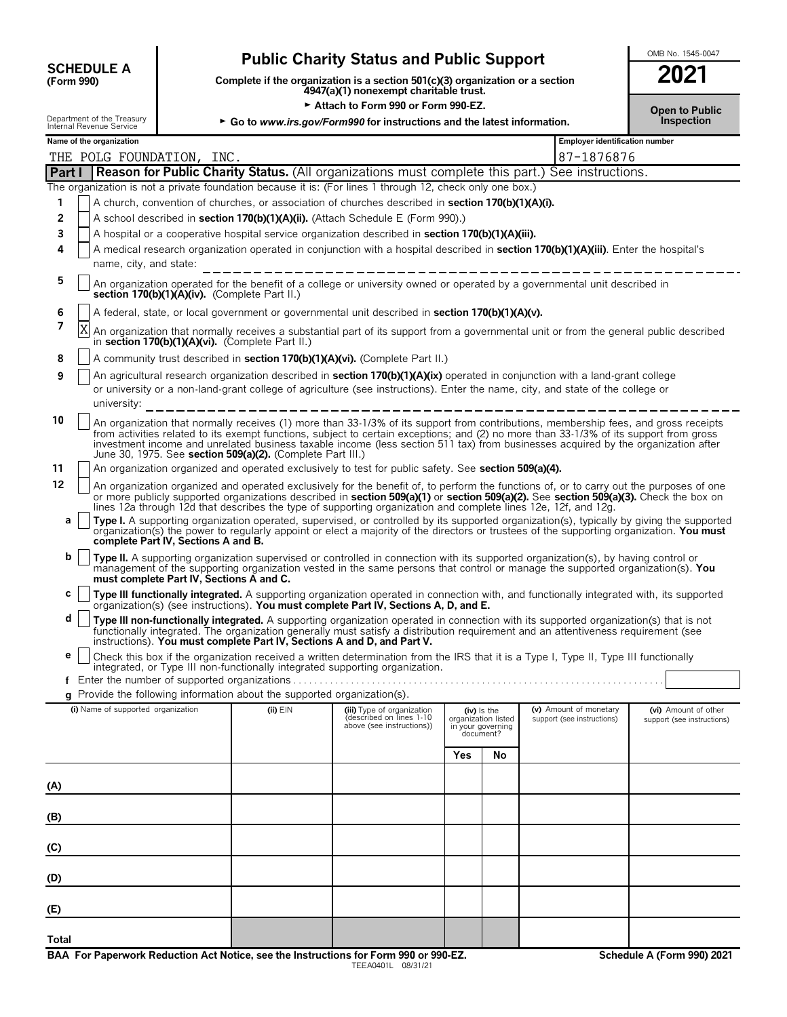| <b>SCHEDULE A</b> |  |
|-------------------|--|
| (Form 990)        |  |

# **Public Charity Status and Public Support SUPPORT 2001**

**COMPOUTE A**<br>(Form 990) **Complete if the organization is a section 501(c)(3) organization or a section**<br>4947(a)(1) nonexempt charitable trust.

| ZUZ I                               |  |
|-------------------------------------|--|
| <b>Open to Public</b><br>Inspection |  |

|                                                                                                                                                    |                                                                                                                                                                | Attach to Form 990 or Form 990-EZ.<br><b>Open to Public</b> |                                                                                 |                                                                                                                                                                                                                                                                                                                                                                                                                    |                                                       |               |                                                      |                                                    |  |  |
|----------------------------------------------------------------------------------------------------------------------------------------------------|----------------------------------------------------------------------------------------------------------------------------------------------------------------|-------------------------------------------------------------|---------------------------------------------------------------------------------|--------------------------------------------------------------------------------------------------------------------------------------------------------------------------------------------------------------------------------------------------------------------------------------------------------------------------------------------------------------------------------------------------------------------|-------------------------------------------------------|---------------|------------------------------------------------------|----------------------------------------------------|--|--|
|                                                                                                                                                    | Department of the Treasury<br>Internal Revenue Service                                                                                                         |                                                             |                                                                                 | ► Go to www.irs.gov/Form990 for instructions and the latest information.                                                                                                                                                                                                                                                                                                                                           |                                                       | Inspection    |                                                      |                                                    |  |  |
|                                                                                                                                                    | Name of the organization                                                                                                                                       |                                                             |                                                                                 |                                                                                                                                                                                                                                                                                                                                                                                                                    |                                                       |               | Employer identification number                       |                                                    |  |  |
| 87-1876876<br>THE POLG FOUNDATION, INC.<br><b>Reason for Public Charity Status.</b> (All organizations must complete this part.) See instructions. |                                                                                                                                                                |                                                             |                                                                                 |                                                                                                                                                                                                                                                                                                                                                                                                                    |                                                       |               |                                                      |                                                    |  |  |
| Part I                                                                                                                                             |                                                                                                                                                                |                                                             |                                                                                 | The organization is not a private foundation because it is: (For lines 1 through 12, check only one box.)                                                                                                                                                                                                                                                                                                          |                                                       |               |                                                      |                                                    |  |  |
| 1                                                                                                                                                  |                                                                                                                                                                |                                                             |                                                                                 | A church, convention of churches, or association of churches described in section 170(b)(1)(A)(i).                                                                                                                                                                                                                                                                                                                 |                                                       |               |                                                      |                                                    |  |  |
| 2                                                                                                                                                  |                                                                                                                                                                |                                                             |                                                                                 | A school described in section 170(b)(1)(A)(ii). (Attach Schedule E (Form 990).)                                                                                                                                                                                                                                                                                                                                    |                                                       |               |                                                      |                                                    |  |  |
| 3                                                                                                                                                  |                                                                                                                                                                |                                                             |                                                                                 | A hospital or a cooperative hospital service organization described in section 170(b)(1)(A)(iii).                                                                                                                                                                                                                                                                                                                  |                                                       |               |                                                      |                                                    |  |  |
| 4                                                                                                                                                  | A medical research organization operated in conjunction with a hospital described in section 170(b)(1)(A)(iii). Enter the hospital's<br>name, city, and state: |                                                             |                                                                                 |                                                                                                                                                                                                                                                                                                                                                                                                                    |                                                       |               |                                                      |                                                    |  |  |
| 5                                                                                                                                                  |                                                                                                                                                                | section 170(b)(1)(A)(iv). (Complete Part II.)               |                                                                                 | An organization operated for the benefit of a college or university owned or operated by a governmental unit described in                                                                                                                                                                                                                                                                                          |                                                       |               |                                                      |                                                    |  |  |
| 6                                                                                                                                                  |                                                                                                                                                                |                                                             |                                                                                 | A federal, state, or local government or governmental unit described in section 170(b)(1)(A)(v).                                                                                                                                                                                                                                                                                                                   |                                                       |               |                                                      |                                                    |  |  |
| 7                                                                                                                                                  | X                                                                                                                                                              |                                                             | in section $170(b)(1)(A)(vi)$ . (Complete Part II.)                             | An organization that normally receives a substantial part of its support from a governmental unit or from the general public described                                                                                                                                                                                                                                                                             |                                                       |               |                                                      |                                                    |  |  |
| 8                                                                                                                                                  |                                                                                                                                                                |                                                             |                                                                                 | A community trust described in <b>section 170(b)(1)(A)(vi).</b> (Complete Part II.)                                                                                                                                                                                                                                                                                                                                |                                                       |               |                                                      |                                                    |  |  |
| 9                                                                                                                                                  | university:                                                                                                                                                    |                                                             |                                                                                 | An agricultural research organization described in section 170(b)(1)(A)(ix) operated in conjunction with a land-grant college<br>or university or a non-land-grant college of agriculture (see instructions). Enter the name, city, and state of the college or                                                                                                                                                    |                                                       |               |                                                      |                                                    |  |  |
| 10                                                                                                                                                 |                                                                                                                                                                |                                                             | June 30, 1975. See section 509(a)(2). (Complete Part III.)                      | An organization that normally receives (1) more than 33-1/3% of its support from contributions, membership fees, and gross receipts<br>from activities related to its exempt functions, subject to certain exceptions; and (2) no more than 33-1/3% of its support from gross<br>investment income and unrelated business taxable income (less section 511 tax) from businesses acquired by the organization after |                                                       |               |                                                      |                                                    |  |  |
| 11                                                                                                                                                 |                                                                                                                                                                |                                                             |                                                                                 | An organization organized and operated exclusively to test for public safety. See section 509(a)(4).                                                                                                                                                                                                                                                                                                               |                                                       |               |                                                      |                                                    |  |  |
| 12                                                                                                                                                 |                                                                                                                                                                |                                                             |                                                                                 | An organization organized and operated exclusively for the benefit of, to perform the functions of, or to carry out the purposes of one<br>or more publicly supported organizations described in section 509(a)(1) or section 509(a)(2). See section 509(a)(3). Check the box on<br>lines 12a through 12d that describes the type of supporting organization and complete lines 12e, 12f, and 12g.                 |                                                       |               |                                                      |                                                    |  |  |
| a                                                                                                                                                  |                                                                                                                                                                | complete Part IV, Sections A and B.                         |                                                                                 | Type I. A supporting organization operated, supervised, or controlled by its supported organization(s), typically by giving the supported<br>organization(s) the power to regularly appoint or elect a majority of the directors or trustees of the supporting organization. You must                                                                                                                              |                                                       |               |                                                      |                                                    |  |  |
| b                                                                                                                                                  |                                                                                                                                                                | must complete Part IV, Sections A and C.                    |                                                                                 | Type II. A supporting organization supervised or controlled in connection with its supported organization(s), by having control or<br>management of the supporting organization vested in the same persons that control or manage the supported organization(s). You                                                                                                                                               |                                                       |               |                                                      |                                                    |  |  |
| с                                                                                                                                                  |                                                                                                                                                                |                                                             |                                                                                 | Type III functionally integrated. A supporting organization operated in connection with, and functionally integrated with, its supported<br>organization(s) (see instructions). You must complete Part IV, Sections A, D, and E.                                                                                                                                                                                   |                                                       |               |                                                      |                                                    |  |  |
| d                                                                                                                                                  |                                                                                                                                                                |                                                             | instructions). You must complete Part IV, Sections A and D, and Part V.         | Type III non-functionally integrated. A supporting organization operated in connection with its supported organization(s) that is not<br>functionally integrated. The organization generally must satisfy a distribution requirement and an attentiveness requirement (see                                                                                                                                         |                                                       |               |                                                      |                                                    |  |  |
| е                                                                                                                                                  |                                                                                                                                                                |                                                             |                                                                                 | Check this box if the organization received a written determination from the IRS that it is a Type I, Type II, Type III functionally<br>integrated, or Type III non-functionally integrated supporting organization.                                                                                                                                                                                               |                                                       |               |                                                      |                                                    |  |  |
|                                                                                                                                                    |                                                                                                                                                                |                                                             | <b>q</b> Provide the following information about the supported organization(s). |                                                                                                                                                                                                                                                                                                                                                                                                                    |                                                       |               |                                                      |                                                    |  |  |
|                                                                                                                                                    | (i) Name of supported organization                                                                                                                             |                                                             | (ii) $EIN$                                                                      | (iii) Type of organization<br>described on lines 1-10<br>above (see instructions))                                                                                                                                                                                                                                                                                                                                 | organization listed<br>in your governing<br>document? | $(iv)$ is the | (v) Amount of monetary<br>support (see instructions) | (vi) Amount of other<br>support (see instructions) |  |  |
|                                                                                                                                                    |                                                                                                                                                                |                                                             |                                                                                 |                                                                                                                                                                                                                                                                                                                                                                                                                    | Yes                                                   | No            |                                                      |                                                    |  |  |
| (A)                                                                                                                                                |                                                                                                                                                                |                                                             |                                                                                 |                                                                                                                                                                                                                                                                                                                                                                                                                    |                                                       |               |                                                      |                                                    |  |  |
| (B)                                                                                                                                                |                                                                                                                                                                |                                                             |                                                                                 |                                                                                                                                                                                                                                                                                                                                                                                                                    |                                                       |               |                                                      |                                                    |  |  |
| (C)                                                                                                                                                |                                                                                                                                                                |                                                             |                                                                                 |                                                                                                                                                                                                                                                                                                                                                                                                                    |                                                       |               |                                                      |                                                    |  |  |
| (D)                                                                                                                                                |                                                                                                                                                                |                                                             |                                                                                 |                                                                                                                                                                                                                                                                                                                                                                                                                    |                                                       |               |                                                      |                                                    |  |  |
| (E)                                                                                                                                                |                                                                                                                                                                |                                                             |                                                                                 |                                                                                                                                                                                                                                                                                                                                                                                                                    |                                                       |               |                                                      |                                                    |  |  |
| <b>Total</b>                                                                                                                                       |                                                                                                                                                                |                                                             |                                                                                 |                                                                                                                                                                                                                                                                                                                                                                                                                    |                                                       |               |                                                      |                                                    |  |  |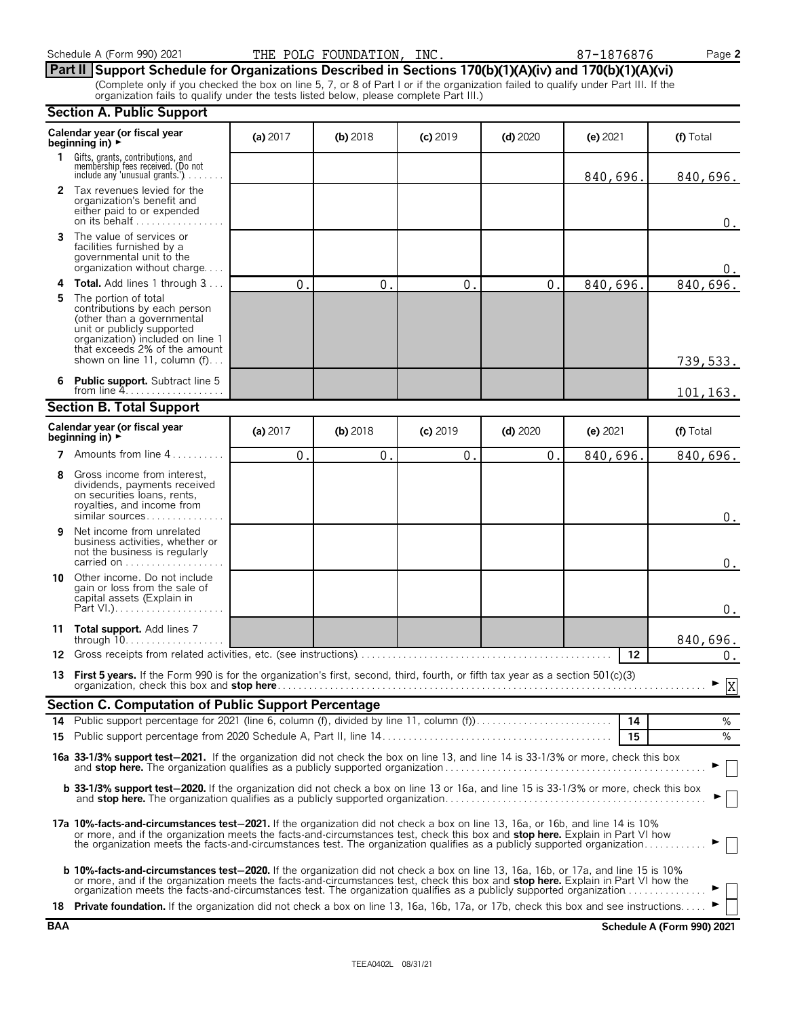# **Part II Support Schedule for Organizations Described in Sections 170(b)(1)(A)(iv) and 170(b)(1)(A)(vi)**

(Complete only if you checked the box on line 5, 7, or 8 of Part I or if the organization failed to qualify under Part III. If the organization fails to qualify under the tests listed below, please complete Part III.)

|            | <b>Section A. Public Support</b>                                                                                                                                                                                                                                                                                                                                                                      |                |              |                  |              |            |                            |
|------------|-------------------------------------------------------------------------------------------------------------------------------------------------------------------------------------------------------------------------------------------------------------------------------------------------------------------------------------------------------------------------------------------------------|----------------|--------------|------------------|--------------|------------|----------------------------|
|            | Calendar year (or fiscal year<br>beginning in) $\rightarrow$                                                                                                                                                                                                                                                                                                                                          | (a) $2017$     | $(b)$ 2018   | $(c)$ 2019       | $(d)$ 2020   | $(e)$ 2021 | (f) Total                  |
| 1.         | Gifts, grants, contributions, and<br>membership fees received. (Do not<br>include any 'unusual grants.'). $\ldots$                                                                                                                                                                                                                                                                                    |                |              |                  |              | 840,696    | 840,696.                   |
|            | 2 Tax revenues levied for the<br>organization's benefit and<br>either paid to or expended<br>on its behalf                                                                                                                                                                                                                                                                                            |                |              |                  |              |            | $0$ .                      |
| 3          | The value of services or<br>facilities furnished by a<br>governmental unit to the<br>organization without charge                                                                                                                                                                                                                                                                                      |                |              |                  |              |            | 0.                         |
| 4          | Total. Add lines 1 through 3                                                                                                                                                                                                                                                                                                                                                                          | $\mathbf{0}$ . | $\mathbf{0}$ | $\overline{0}$ . | $\mathbf{0}$ | 840,696    | 840,696.                   |
| 5          | The portion of total<br>contributions by each person<br>(other than a governmental<br>unit or publicly supported<br>organization) included on line 1<br>that exceeds 2% of the amount<br>shown on line 11, column (f)                                                                                                                                                                                 |                |              |                  |              |            | 739, 533.                  |
| 6          | <b>Public support.</b> Subtract line 5<br>from line $4$                                                                                                                                                                                                                                                                                                                                               |                |              |                  |              |            | 101, 163.                  |
|            | <b>Section B. Total Support</b>                                                                                                                                                                                                                                                                                                                                                                       |                |              |                  |              |            |                            |
|            | Calendar year (or fiscal year<br>beginning in) $\rightarrow$                                                                                                                                                                                                                                                                                                                                          | (a) $2017$     | $(b)$ 2018   | $(c)$ 2019       | $(d)$ 2020   | (e) 2021   | (f) Total                  |
| 7          | Amounts from line 4                                                                                                                                                                                                                                                                                                                                                                                   | 0.             | 0.           | 0.               | 0.           | 840,696    | 840,696.                   |
| 8          | Gross income from interest,<br>dividends, payments received<br>on securities loans, rents,<br>royalties, and income from<br>similar sources                                                                                                                                                                                                                                                           |                |              |                  |              |            | $0$ .                      |
| 9          | Net income from unrelated<br>business activities, whether or<br>not the business is regularly<br>carried on                                                                                                                                                                                                                                                                                           |                |              |                  |              |            | $0$ .                      |
| 10         | Other income. Do not include<br>gain or loss from the sale of<br>capital assets (Explain in                                                                                                                                                                                                                                                                                                           |                |              |                  |              |            | $0$ .                      |
| 11         | Total support. Add lines 7<br>through $10$                                                                                                                                                                                                                                                                                                                                                            |                |              |                  |              |            | 840,696.                   |
| 12         | Gross receipts from related activities, etc. (see instructions).                                                                                                                                                                                                                                                                                                                                      |                |              |                  |              | 12         | $0$ .                      |
|            | 13 First 5 years. If the Form 990 is for the organization's first, second, third, fourth, or fifth tax year as a section 501(c)(3)                                                                                                                                                                                                                                                                    |                |              |                  |              |            | $\overline{v}$<br>Y        |
|            | <b>Section C. Computation of Public Support Percentage</b>                                                                                                                                                                                                                                                                                                                                            |                |              |                  |              |            |                            |
| 14         | Public support percentage for 2021 (line 6, column (f), divided by line 11, column (f)                                                                                                                                                                                                                                                                                                                |                |              |                  |              | 14         | %                          |
| 15         |                                                                                                                                                                                                                                                                                                                                                                                                       |                |              |                  |              | 15         | %                          |
|            | 16a 33-1/3% support test-2021. If the organization did not check the box on line 13, and line 14 is 33-1/3% or more, check this box                                                                                                                                                                                                                                                                   |                |              |                  |              |            |                            |
|            | <b>b 33-1/3% support test-2020.</b> If the organization did not check a box on line 13 or 16a, and line 15 is 33-1/3% or more, check this box<br>and stop here. The organization qualifies as a publicly supported organization.                                                                                                                                                                      |                |              |                  |              |            |                            |
|            | 17a 10%-facts-and-circumstances test-2021. If the organization did not check a box on line 13, 16a, or 16b, and line 14 is 10%<br>or more, and if the organization meets the facts-and-circumstances test, check this box and stop here. Explain in Part VI how<br>the organization meets the facts-and-circumstances test. The organization qualifies as a publicly supported organization           |                |              |                  |              |            |                            |
|            | <b>b 10%-facts-and-circumstances test-2020.</b> If the organization did not check a box on line 13, 16a, 16b, or 17a, and line 15 is 10%<br>or more, and if the organization meets the facts-and-circumstances test, check this box and stop here. Explain in Part VI how the<br>organization meets the facts-and-circumstances test. The organization qualifies as a publicly supported organization |                |              |                  |              |            |                            |
|            | 18 Private foundation. If the organization did not check a box on line 13, 16a, 16b, 17a, or 17b, check this box and see instructions                                                                                                                                                                                                                                                                 |                |              |                  |              |            |                            |
| <b>BAA</b> |                                                                                                                                                                                                                                                                                                                                                                                                       |                |              |                  |              |            | Schedule A (Form 990) 2021 |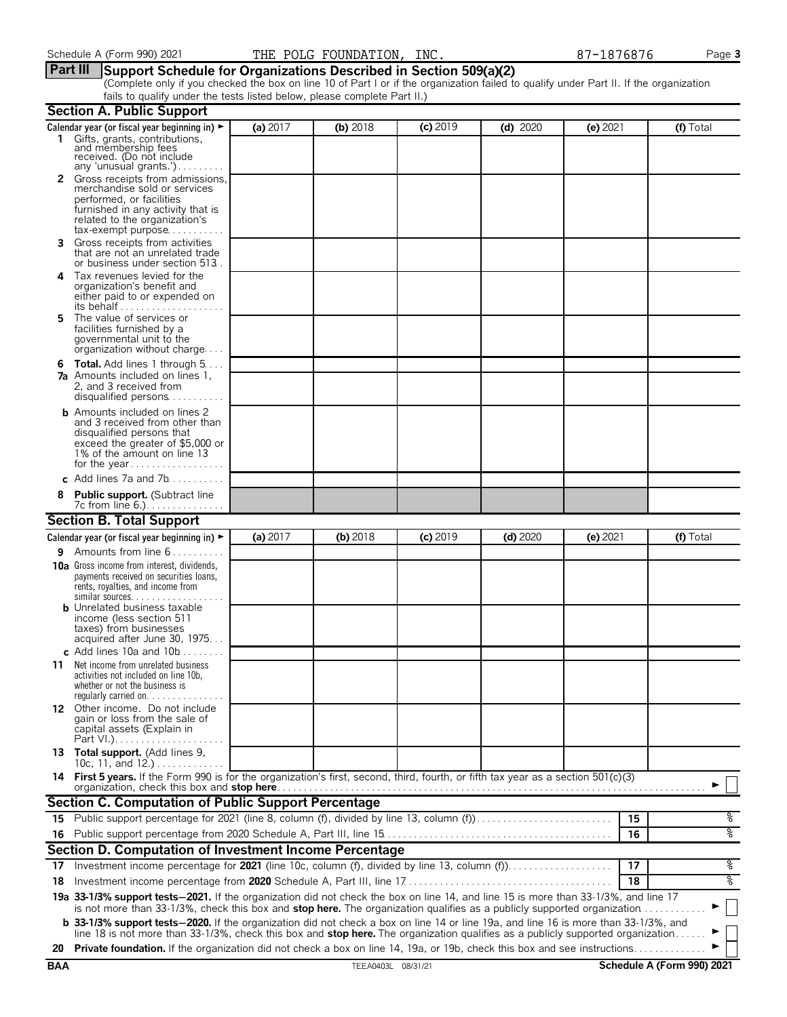#### **Part III Support Schedule for Organizations Described in Section 509(a)(2)**

(Complete only if you checked the box on line 10 of Part I or if the organization failed to qualify under Part II. If the organization fails to qualify under the tests listed below, please complete Part II.)

|            | <b>Section A. Public Support</b>                                                                                                                                                                                                                                                           |            |                    |            |            |            |                            |
|------------|--------------------------------------------------------------------------------------------------------------------------------------------------------------------------------------------------------------------------------------------------------------------------------------------|------------|--------------------|------------|------------|------------|----------------------------|
|            | Calendar year (or fiscal year beginning in) ►                                                                                                                                                                                                                                              | (a) 2017   | (b) 2018           | $(c)$ 2019 | $(d)$ 2020 | $(e)$ 2021 | (f) Total                  |
|            | 1 Gifts, grants, contributions, and membership fees<br>received. (Do not include<br>any 'unusual grants.')                                                                                                                                                                                 |            |                    |            |            |            |                            |
|            | 2 Gross receipts from admissions,                                                                                                                                                                                                                                                          |            |                    |            |            |            |                            |
|            | merchandise sold or services<br>performed, or facilities<br>furnished in any activity that is<br>related to the organization's<br>$tax\text{-}exempt \text{ purpose} \dots \dots \dots$                                                                                                    |            |                    |            |            |            |                            |
| 3          | Gross receipts from activities<br>that are not an unrelated trade<br>or business under section 513.                                                                                                                                                                                        |            |                    |            |            |            |                            |
| 4          | Tax revenues levied for the<br>organization's benefit and<br>either paid to or expended on<br>its behalf                                                                                                                                                                                   |            |                    |            |            |            |                            |
| 5.         | The value of services or<br>facilities furnished by a<br>governmental unit to the<br>organization without charge                                                                                                                                                                           |            |                    |            |            |            |                            |
|            | <b>6 Total.</b> Add lines 1 through $5 \ldots$<br><b>7a</b> Amounts included on lines 1.<br>2, and 3 received from<br>disqualified persons                                                                                                                                                 |            |                    |            |            |            |                            |
|            | <b>b</b> Amounts included on lines 2<br>and 3 received from other than<br>disqualified persons that<br>exceed the greater of \$5,000 or<br>1% of the amount on line 13<br>for the year                                                                                                     |            |                    |            |            |            |                            |
|            | c Add lines 7a and 7b                                                                                                                                                                                                                                                                      |            |                    |            |            |            |                            |
| 8          | <b>Public support.</b> (Subtract line<br>7c from line 6.).                                                                                                                                                                                                                                 |            |                    |            |            |            |                            |
|            | <b>Section B. Total Support</b>                                                                                                                                                                                                                                                            |            |                    |            |            |            |                            |
|            | Calendar year (or fiscal year beginning in) $\blacktriangleright$                                                                                                                                                                                                                          | (a) $2017$ | (b) 2018           | $(c)$ 2019 | $(d)$ 2020 | $(e)$ 2021 | (f) Total                  |
| 9.         | Amounts from line 6                                                                                                                                                                                                                                                                        |            |                    |            |            |            |                            |
|            | <b>10a</b> Gross income from interest, dividends,<br>payments received on securities loans,<br>rents, royalties, and income from<br>similar sources. $\ldots$<br><b>b</b> Unrelated business taxable<br>income (less section 511<br>taxes) from businesses<br>acquired after June 30, 1975 |            |                    |            |            |            |                            |
|            | c Add lines 10a and $10b$                                                                                                                                                                                                                                                                  |            |                    |            |            |            |                            |
| 11         | Net income from unrelated business<br>activities not included on line 10b,<br>whether or not the business is<br>regularly carried on. $\ldots$                                                                                                                                             |            |                    |            |            |            |                            |
|            | 12 Other income. Do not include<br>gain or loss from the sale of<br>capital assets (Explain in                                                                                                                                                                                             |            |                    |            |            |            |                            |
|            | 13 Total support. (Add lines 9,<br>10c, 11, and 12.)                                                                                                                                                                                                                                       |            |                    |            |            |            |                            |
|            | 14 First 5 years. If the Form 990 is for the organization's first, second, third, fourth, or fifth tax year as a section 501(c)(3)<br>organization, check this box and stop here.                                                                                                          |            |                    |            |            |            |                            |
|            | Section C. Computation of Public Support Percentage                                                                                                                                                                                                                                        |            |                    |            |            |            |                            |
|            | 15 Public support percentage for 2021 (line 8, column (f), divided by line 13, column (f)                                                                                                                                                                                                  |            |                    |            |            | 15         | %                          |
|            |                                                                                                                                                                                                                                                                                            |            |                    |            |            | 16         | ०७                         |
|            | Section D. Computation of Investment Income Percentage                                                                                                                                                                                                                                     |            |                    |            |            |            |                            |
| 17         | Investment income percentage for 2021 (line 10c, column (f), divided by line 13, column (f))                                                                                                                                                                                               |            |                    |            |            | 17         | %                          |
| 18         |                                                                                                                                                                                                                                                                                            |            |                    |            |            | 18         | ०७                         |
|            | 19a 33-1/3% support tests-2021. If the organization did not check the box on line 14, and line 15 is more than 33-1/3%, and line 17<br>is not more than 33-1/3%, check this box and stop here. The organization qualifies as a publicly supported organization $\ldots \ldots \ldots$      |            |                    |            |            |            |                            |
|            | <b>b</b> 33-1/3% support tests-2020. If the organization did not check a box on line 14 or line 19a, and line 16 is more than 33-1/3%, and                                                                                                                                                 |            |                    |            |            |            |                            |
| 20         | line 18 is not more than 33-1/3%, check this box and stop here. The organization qualifies as a publicly supported organization.<br>Private foundation. If the organization did not check a box on line 14, 19a, or 19b, check this box and see instructions                               |            |                    |            |            |            |                            |
| <b>BAA</b> |                                                                                                                                                                                                                                                                                            |            | TEEA0403L 08/31/21 |            |            |            | Schedule A (Form 990) 2021 |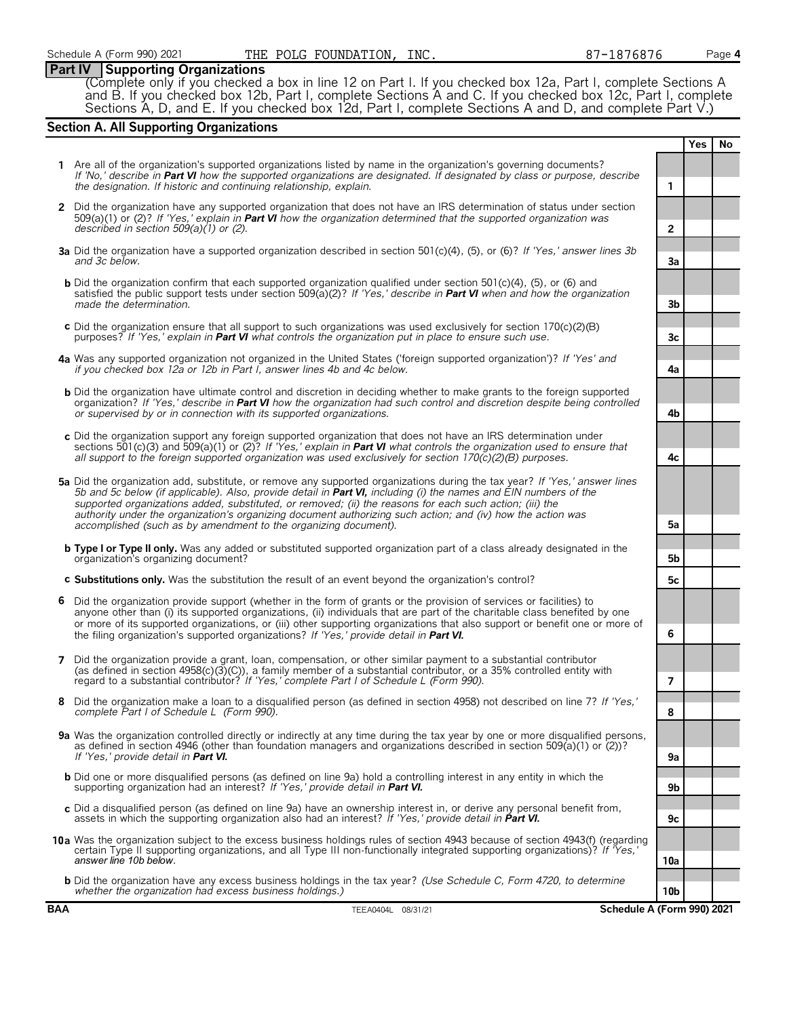#### **Part IV Supporting Organizations**

(Complete only if you checked a box in line 12 on Part I. If you checked box 12a, Part I, complete Sections A and B. If you checked box 12b, Part I, complete Sections A and C. If you checked box 12c, Part I, complete Sections A, D, and E. If you checked box 12d, Part I, complete Sections A and D, and complete Part V.)

### **Section A. All Supporting Organizations**

|                |                                                                                                                                                                                                                                                                                                                                                                                                                                                                            |                | <b>Yes</b> | No |
|----------------|----------------------------------------------------------------------------------------------------------------------------------------------------------------------------------------------------------------------------------------------------------------------------------------------------------------------------------------------------------------------------------------------------------------------------------------------------------------------------|----------------|------------|----|
|                | 1 Are all of the organization's supported organizations listed by name in the organization's governing documents?<br>If 'No,' describe in Part VI how the supported organizations are designated. If designated by class or purpose, describe<br>the designation. If historic and continuing relationship, explain.                                                                                                                                                        | 1              |            |    |
|                | 2 Did the organization have any supported organization that does not have an IRS determination of status under section<br>509(a)(1) or (2)? If 'Yes,' explain in Part VI how the organization determined that the supported organization was<br>described in section $509(a)(1)$ or (2).                                                                                                                                                                                   | $\overline{2}$ |            |    |
|                | 3a Did the organization have a supported organization described in section 501(c)(4), (5), or (6)? If 'Yes,' answer lines 3b<br>and 3c below.                                                                                                                                                                                                                                                                                                                              | 3a             |            |    |
|                | <b>b</b> Did the organization confirm that each supported organization qualified under section $501(c)(4)$ , (5), or (6) and<br>satisfied the public support tests under section 509(a)(2)? If 'Yes,' describe in <b>Part VI</b> when and how the organization<br>made the determination.                                                                                                                                                                                  | 3b             |            |    |
|                | c Did the organization ensure that all support to such organizations was used exclusively for section $170(c)(2)(B)$<br>purposes? If 'Yes,' explain in <b>Part VI</b> what controls the organization put in place to ensure such use.                                                                                                                                                                                                                                      | Зc             |            |    |
|                | 4a Was any supported organization not organized in the United States ('foreign supported organization')? If 'Yes' and<br>if you checked box 12a or 12b in Part I, answer lines 4b and 4c below.                                                                                                                                                                                                                                                                            | 4a             |            |    |
|                | <b>b</b> Did the organization have ultimate control and discretion in deciding whether to make grants to the foreign supported<br>organization? If 'Yes,' describe in Part VI how the organization had such control and discretion despite being controlled<br>or supervised by or in connection with its supported organizations.                                                                                                                                         | 4b             |            |    |
|                | c Did the organization support any foreign supported organization that does not have an IRS determination under<br>sections 501(c)(3) and 509(a)(1) or (2)? If 'Yes,' explain in <b>Part VI</b> what controls the organization used to ensure that<br>all support to the foreign supported organization was used exclusively for section $170(c)(2)(B)$ purposes.                                                                                                          | 4c             |            |    |
|                | 5a Did the organization add, substitute, or remove any supported organizations during the tax year? If 'Yes,' answer lines<br>5b and 5c below (if applicable). Also, provide detail in Part VI, including (i) the names and EIN numbers of the<br>supported organizations added, substituted, or removed; (ii) the reasons for each such action; (iii) the<br>authority under the organization's organizing document authorizing such action; and (iv) how the action was  |                |            |    |
|                | accomplished (such as by amendment to the organizing document).                                                                                                                                                                                                                                                                                                                                                                                                            | 5a             |            |    |
|                | <b>b Type I or Type II only.</b> Was any added or substituted supported organization part of a class already designated in the<br>organization's organizing document?                                                                                                                                                                                                                                                                                                      | 5 <sub>b</sub> |            |    |
|                | c Substitutions only. Was the substitution the result of an event beyond the organization's control?                                                                                                                                                                                                                                                                                                                                                                       | 5c             |            |    |
| 6              | Did the organization provide support (whether in the form of grants or the provision of services or facilities) to<br>anyone other than (i) its supported organizations, (ii) individuals that are part of the charitable class benefited by one<br>or more of its supported organizations, or (iii) other supporting organizations that also support or benefit one or more of<br>the filing organization's supported organizations? If 'Yes,' provide detail in Part VI. | 6              |            |    |
| $\overline{7}$ | Did the organization provide a grant, loan, compensation, or other similar payment to a substantial contributor<br>(as defined in section $4958(c)(3)(c)$ ), a family member of a substantial contributor, or a 35% controlled entity with<br>regard to a substantial contributor? If 'Yes,' complete Part I of Schedule L (Form 990).                                                                                                                                     | $\overline{7}$ |            |    |
| 8              | Did the organization make a loan to a disqualified person (as defined in section 4958) not described on line 7? If 'Yes,'<br>complete Part I of Schedule L (Form 990).                                                                                                                                                                                                                                                                                                     | 8              |            |    |
|                | 9a Was the organization controlled directly or indirectly at any time during the tax year by one or more disqualified persons,<br>as defined in section 4946 (other than foundation managers and organizations described in section 509(a)(1) or (2))?<br>If 'Yes,' provide detail in Part VI.                                                                                                                                                                             | 9а             |            |    |
|                | <b>b</b> Did one or more disqualified persons (as defined on line 9a) hold a controlling interest in any entity in which the<br>supporting organization had an interest? If 'Yes,' provide detail in Part VI.                                                                                                                                                                                                                                                              | 9b             |            |    |
|                | c Did a disqualified person (as defined on line 9a) have an ownership interest in, or derive any personal benefit from,<br>assets in which the supporting organization also had an interest? If 'Yes,' provide detail in Part VI.                                                                                                                                                                                                                                          | 9с             |            |    |
|                | 10a Was the organization subject to the excess business holdings rules of section 4943 because of section 4943(f) (regarding<br>certain Type II supporting organizations, and all Type III non-functionally integrated supporting organizations)? If 'Yes,'<br>answer line 10b below.                                                                                                                                                                                      | 10a            |            |    |
|                | <b>b</b> Did the organization have any excess business holdings in the tax year? (Use Schedule C, Form 4720, to determine<br>whether the organization had excess business holdings.)                                                                                                                                                                                                                                                                                       | 10b            |            |    |
| <b>BAA</b>     | Schedule A (Form 990) 2021<br>TEEA0404L 08/31/21                                                                                                                                                                                                                                                                                                                                                                                                                           |                |            |    |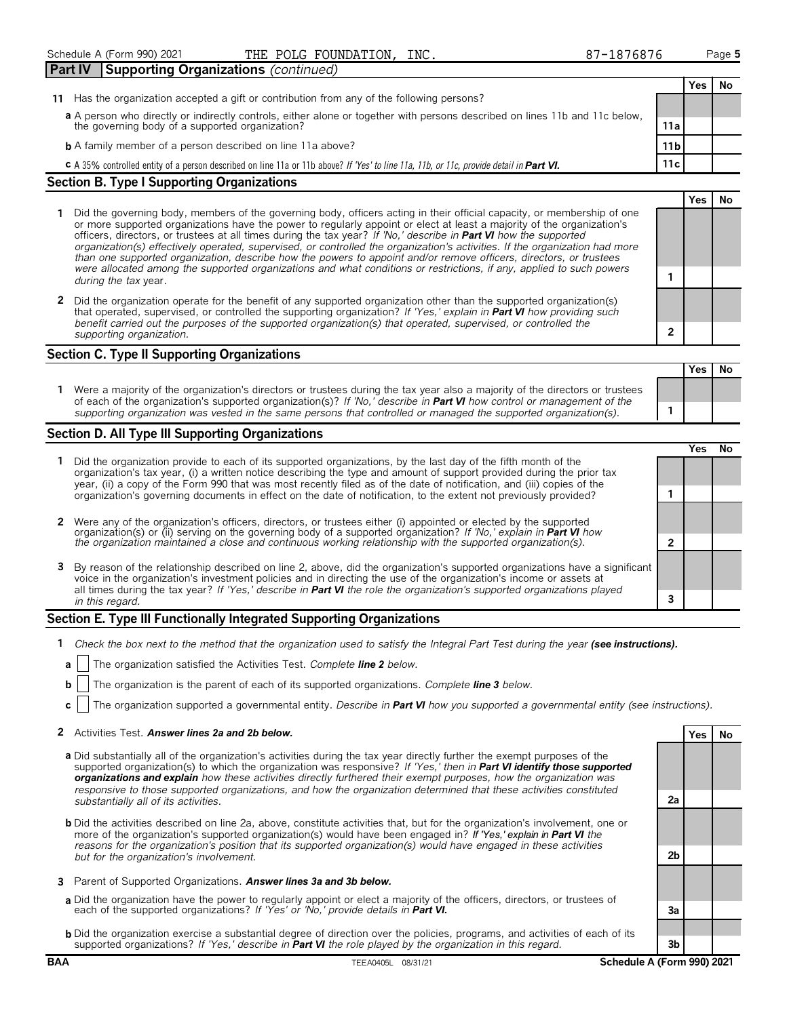|                                                                                                                             |                                                                                            | _______ |                 |  |
|-----------------------------------------------------------------------------------------------------------------------------|--------------------------------------------------------------------------------------------|---------|-----------------|--|
| Part IV                                                                                                                     | Supporting Organizations (continued)                                                       |         |                 |  |
|                                                                                                                             |                                                                                            |         |                 |  |
|                                                                                                                             | 11 Has the organization accepted a gift or contribution from any of the following persons? |         |                 |  |
| a A person who directly or indirectly controls, either alone or together with persons described on lines 11b and 11c below, |                                                                                            |         |                 |  |
|                                                                                                                             | the governing body of a supported organization?                                            |         | 11a             |  |
|                                                                                                                             | <b>b</b> A family member of a person described on line 11a above?                          |         | 11 <sub>b</sub> |  |

**c** A 35% controlled entity of a person described on line 11a or 11b above? *If 'Yes' to line 11a, 11b, or 11c, provide detail in Part VI. 11c* 

THE POLC FOUNDATION

#### **Section B. Type I Supporting Organizations**

- **1** Did the governing body, members of the governing body, officers acting in their official capacity, or membership of one or more supported organizations have the power to regularly appoint or elect at least a majority of the organization's officers, directors, or trustees at all times during the tax year? *If 'No,' describe in Part VI how the supported organization(s) effectively operated, supervised, or controlled the organization's activities. If the organization had more than one supported organization, describe how the powers to appoint and/or remove officers, directors, or trustees were allocated among the supported organizations and what conditions or restrictions, if any, applied to such powers* **<sup>1</sup>** *during the tax* year.
- **2** Did the organization operate for the benefit of any supported organization other than the supported organization(s) that operated, supervised, or controlled the supporting organization? *If 'Yes,' explain in Part VI how providing such benefit carried out the purposes of the supported organization(s) that operated, supervised, or controlled the supporting organization.* **2**

#### **Section C. Type II Supporting Organizations**

**Yes No 1** Were a majority of the organization's directors or trustees during the tax year also a majority of the directors or trustees of each of the organization's supported organization(s)? *If 'No,' describe in Part VI how control or management of the supporting organization was vested in the same persons that controlled or managed the supported organization(s).* **1**

#### **Section D. All Type III Supporting Organizations**

|                                                                                                                                                                                                                                                                                                                                                                                       | res |  |
|---------------------------------------------------------------------------------------------------------------------------------------------------------------------------------------------------------------------------------------------------------------------------------------------------------------------------------------------------------------------------------------|-----|--|
| Did the organization provide to each of its supported organizations, by the last day of the fifth month of the<br>organization's tax year, (i) a written notice describing the type and amount of support provided during the prior tax<br>year, (ii) a copy of the Form 990 that was most recently filed as of the date of notification, and (iii) copies of the                     |     |  |
| organization's governing documents in effect on the date of notification, to the extent not previously provided?                                                                                                                                                                                                                                                                      |     |  |
| 2 Were any of the organization's officers, directors, or trustees either (i) appointed or elected by the supported                                                                                                                                                                                                                                                                    |     |  |
| organization(s) or (ii) serving on the governing body of a supported organization? If 'No,' explain in <b>Part VI</b> how<br>the organization maintained a close and continuous working relationship with the supported organization(s                                                                                                                                                |     |  |
| 3 By reason of the relationship described on line 2, above, did the organization's supported organizations have a significant<br>voice in the organization's investment policies and in directing the use of the organization's income or assets at<br>all times during the tax year? If 'Yes,' describe in <b>Part VI</b> the role the organization's supported organizations played |     |  |
| in this regard.                                                                                                                                                                                                                                                                                                                                                                       |     |  |

#### **Section E. Type III Functionally Integrated Supporting Organizations**

- **1** *Check the box next to the method that the organization used to satisfy the Integral Part Test during the year (see instructions).*
- **a** The organization satisfied the Activities Test. *Complete line 2 below.*
- **b** The organization is the parent of each of its supported organizations. *Complete line 3 below.*
- **c** The organization supported a governmental entity. *Describe in Part VI how you supported a governmental entity (see instructions).*

#### **2** Activities Test. *Answer lines 2a and 2b below.* **Yes No**

- **a** Did substantially all of the organization's activities during the tax year directly further the exempt purposes of the supported organization(s) to which the organization was responsive? *If 'Yes,' then in Part VI identify those supported organizations and explain how these activities directly furthered their exempt purposes, how the organization was responsive to those supported organizations, and how the organization determined that these activities constituted substantially all of its activities.* **2a**
- **b** Did the activities described on line 2a, above, constitute activities that, but for the organization's involvement, one or more of the organization's supported organization(s) would have been engaged in? *If 'Yes,' explain in Part VI the reasons for the organization's position that its supported organization(s) would have engaged in these activities but for the organization's involvement.* **2b**
- **3** Parent of Supported Organizations. *Answer lines 3a and 3b below.*
- **a** Did the organization have the power to regularly appoint or elect a majority of the officers, directors, or trustees of each of the supported organizations? *If 'Yes' or 'No,' provide details in Part VI.* **3a**
- **b** Did the organization exercise a substantial degree of direction over the policies, programs, and activities of each of its supported organizations? *If 'Yes,' describe in Part VI the role played by the organization in this regard.* **3b**

**Yes No**

**Yes No**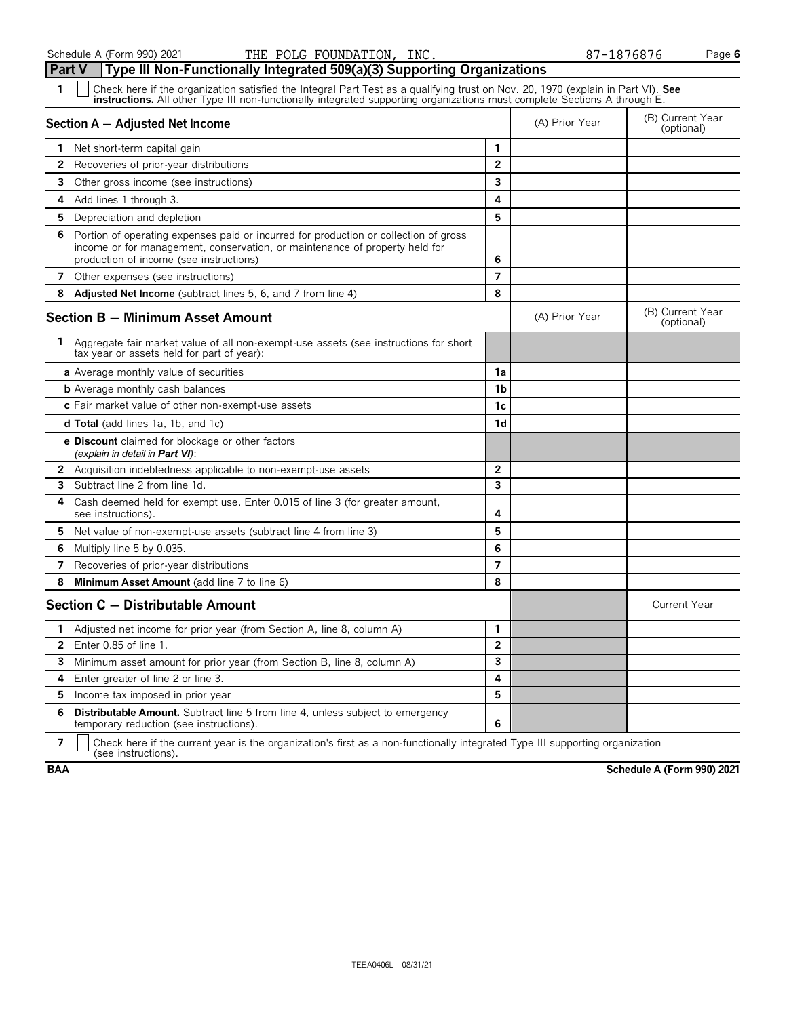| Type III Non-Functionally Integrated 509(a)(3) Supporting Organizations<br>Part V                                                                                                                                                                                  |                |                |                                |
|--------------------------------------------------------------------------------------------------------------------------------------------------------------------------------------------------------------------------------------------------------------------|----------------|----------------|--------------------------------|
| Check here if the organization satisfied the Integral Part Test as a qualifying trust on Nov. 20, 1970 (explain in Part VI). See<br>1<br>instructions. All other Type III non-functionally integrated supporting organizations must complete Sections A through E. |                |                |                                |
| Section A - Adjusted Net Income                                                                                                                                                                                                                                    |                | (A) Prior Year | (B) Current Year<br>(optional) |
| Net short-term capital gain                                                                                                                                                                                                                                        | 1              |                |                                |
| $\mathbf{2}$<br>Recoveries of prior-year distributions                                                                                                                                                                                                             | $\overline{2}$ |                |                                |
| 3<br>Other gross income (see instructions)                                                                                                                                                                                                                         | 3              |                |                                |
| 4<br>Add lines 1 through 3.                                                                                                                                                                                                                                        | 4              |                |                                |
| 5<br>Depreciation and depletion                                                                                                                                                                                                                                    | 5              |                |                                |
| 6<br>Portion of operating expenses paid or incurred for production or collection of gross<br>income or for management, conservation, or maintenance of property held for<br>production of income (see instructions)                                                | 6              |                |                                |
| 7<br>Other expenses (see instructions)                                                                                                                                                                                                                             | $\overline{7}$ |                |                                |
| 8<br>Adjusted Net Income (subtract lines 5, 6, and 7 from line 4)                                                                                                                                                                                                  | 8              |                |                                |
| <b>Section B - Minimum Asset Amount</b>                                                                                                                                                                                                                            |                | (A) Prior Year | (B) Current Year<br>(optional) |
| 1.<br>Aggregate fair market value of all non-exempt-use assets (see instructions for short<br>tax year or assets held for part of year):                                                                                                                           |                |                |                                |
| <b>a</b> Average monthly value of securities                                                                                                                                                                                                                       | 1a             |                |                                |
| <b>b</b> Average monthly cash balances                                                                                                                                                                                                                             | 1 <sub>b</sub> |                |                                |
| c Fair market value of other non-exempt-use assets                                                                                                                                                                                                                 | 1c             |                |                                |
| <b>d Total</b> (add lines 1a, 1b, and 1c)                                                                                                                                                                                                                          | 1d             |                |                                |
| <b>e Discount</b> claimed for blockage or other factors<br>(explain in detail in <b>Part VI</b> ):                                                                                                                                                                 |                |                |                                |
| <b>2</b> Acquisition indebtedness applicable to non-exempt-use assets                                                                                                                                                                                              | $\mathbf{2}$   |                |                                |
| Subtract line 2 from line 1d.<br>3                                                                                                                                                                                                                                 | 3              |                |                                |
| Cash deemed held for exempt use. Enter 0.015 of line 3 (for greater amount,<br>4<br>see instructions).                                                                                                                                                             | 4              |                |                                |
| Net value of non-exempt-use assets (subtract line 4 from line 3)<br>5.                                                                                                                                                                                             | 5              |                |                                |
| Multiply line 5 by 0.035.<br>6                                                                                                                                                                                                                                     | 6              |                |                                |
| Recoveries of prior-year distributions<br>7                                                                                                                                                                                                                        | $\overline{7}$ |                |                                |
| Minimum Asset Amount (add line 7 to line 6)<br>8                                                                                                                                                                                                                   | 8              |                |                                |
| Section C - Distributable Amount                                                                                                                                                                                                                                   |                |                | <b>Current Year</b>            |
| Adjusted net income for prior year (from Section A, line 8, column A)                                                                                                                                                                                              | $\mathbf{1}$   |                |                                |
| Enter 0.85 of line 1.<br>$\mathbf{2}$                                                                                                                                                                                                                              | $\overline{2}$ |                |                                |
| 3<br>Minimum asset amount for prior year (from Section B, line 8, column A)                                                                                                                                                                                        | 3              |                |                                |
| Enter greater of line 2 or line 3.<br>4                                                                                                                                                                                                                            | 4              |                |                                |
| 5.<br>Income tax imposed in prior year                                                                                                                                                                                                                             | 5              |                |                                |
| <b>Distributable Amount.</b> Subtract line 5 from line 4, unless subject to emergency<br>6<br>temporary reduction (see instructions).                                                                                                                              | 6              |                |                                |

**7**  $\Box$  Check here if the current year is the organization's first as a non-functionally integrated Type III supporting organization (see instructions).

**BAA Schedule A (Form 990) 2021**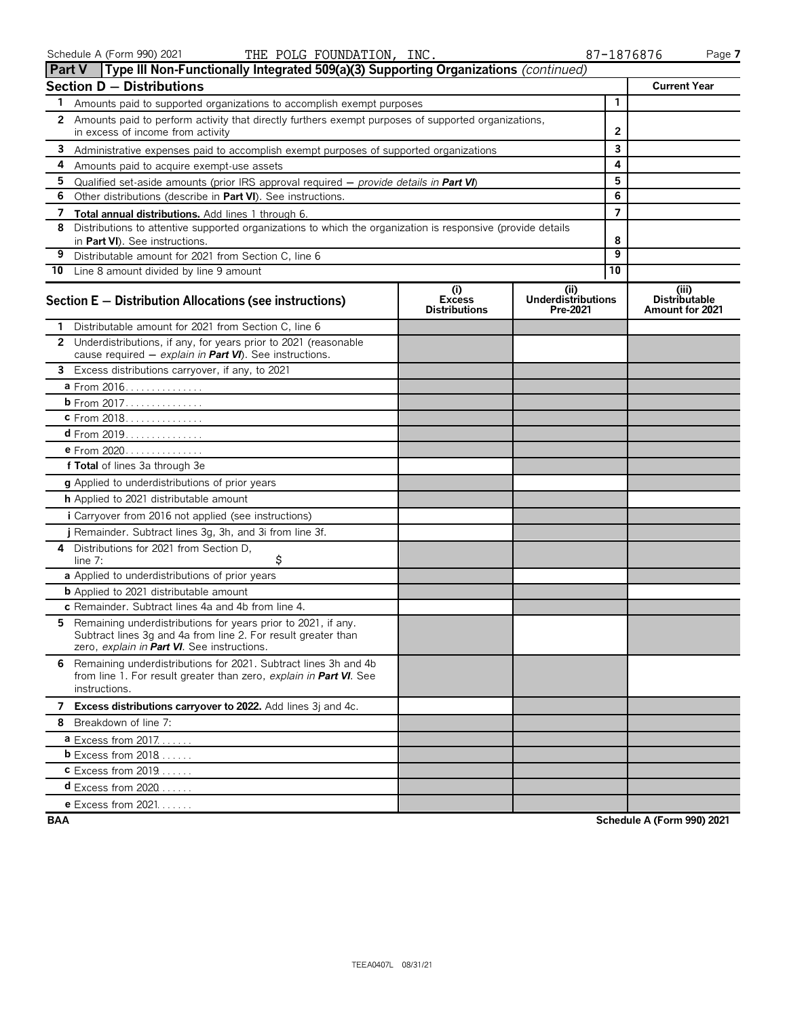|              | Type III Non-Functionally Integrated 509(a)(3) Supporting Organizations (continued)<br><b>Part V</b>                                                                          |                                              |                                       |                |                                                  |
|--------------|-------------------------------------------------------------------------------------------------------------------------------------------------------------------------------|----------------------------------------------|---------------------------------------|----------------|--------------------------------------------------|
|              | Section D - Distributions                                                                                                                                                     |                                              |                                       |                | <b>Current Year</b>                              |
| 1.           | Amounts paid to supported organizations to accomplish exempt purposes                                                                                                         |                                              | $\mathbf{1}$                          |                |                                                  |
| $\mathbf{2}$ | Amounts paid to perform activity that directly furthers exempt purposes of supported organizations,                                                                           |                                              |                                       |                |                                                  |
|              | in excess of income from activity                                                                                                                                             | 2                                            |                                       |                |                                                  |
| 3            | Administrative expenses paid to accomplish exempt purposes of supported organizations                                                                                         |                                              |                                       | 3              |                                                  |
| 4            | Amounts paid to acquire exempt-use assets                                                                                                                                     |                                              |                                       | 4              |                                                  |
| 5            | Qualified set-aside amounts (prior IRS approval required $-$ provide details in <b>Part VI</b> )                                                                              |                                              |                                       | 5              |                                                  |
| 6            | Other distributions (describe in Part VI). See instructions.                                                                                                                  |                                              |                                       | 6              |                                                  |
| 7            | Total annual distributions. Add lines 1 through 6.                                                                                                                            |                                              |                                       | $\overline{7}$ |                                                  |
| 8            | Distributions to attentive supported organizations to which the organization is responsive (provide details<br>in Part VI). See instructions.                                 |                                              |                                       | 8              |                                                  |
| 9            | Distributable amount for 2021 from Section C, line 6                                                                                                                          |                                              |                                       | 9              |                                                  |
|              | 10 Line 8 amount divided by line 9 amount                                                                                                                                     |                                              |                                       | 10             |                                                  |
|              | Section E - Distribution Allocations (see instructions)                                                                                                                       | (i)<br><b>Excess</b><br><b>Distributions</b> | (i)<br>Underdistributions<br>Pre-2021 |                | (iii)<br><b>Distributable</b><br>Amount for 2021 |
| 1.           | Distributable amount for 2021 from Section C, line 6                                                                                                                          |                                              |                                       |                |                                                  |
|              | 2 Underdistributions, if any, for years prior to 2021 (reasonable<br>cause required - explain in Part VI). See instructions.                                                  |                                              |                                       |                |                                                  |
|              | 3 Excess distributions carryover, if any, to 2021                                                                                                                             |                                              |                                       |                |                                                  |
|              | a From 2016.                                                                                                                                                                  |                                              |                                       |                |                                                  |
|              | <b>b</b> From 2017.                                                                                                                                                           |                                              |                                       |                |                                                  |
|              | c From 2018                                                                                                                                                                   |                                              |                                       |                |                                                  |
|              | <b>d</b> From 2019. <u>.</u>                                                                                                                                                  |                                              |                                       |                |                                                  |
|              | e From 2020                                                                                                                                                                   |                                              |                                       |                |                                                  |
|              | f Total of lines 3a through 3e                                                                                                                                                |                                              |                                       |                |                                                  |
|              | g Applied to underdistributions of prior years                                                                                                                                |                                              |                                       |                |                                                  |
|              | <b>h</b> Applied to 2021 distributable amount                                                                                                                                 |                                              |                                       |                |                                                  |
|              | <i>i</i> Carryover from 2016 not applied (see instructions)                                                                                                                   |                                              |                                       |                |                                                  |
|              | <i>j</i> Remainder. Subtract lines 3g, 3h, and 3i from line 3f.                                                                                                               |                                              |                                       |                |                                                  |
| 4            | Distributions for 2021 from Section D.<br>\$<br>line $7:$                                                                                                                     |                                              |                                       |                |                                                  |
|              | a Applied to underdistributions of prior years                                                                                                                                |                                              |                                       |                |                                                  |
|              | <b>b</b> Applied to 2021 distributable amount                                                                                                                                 |                                              |                                       |                |                                                  |
|              | c Remainder. Subtract lines 4a and 4b from line 4.                                                                                                                            |                                              |                                       |                |                                                  |
| 5.           | Remaining underdistributions for years prior to 2021, if any.<br>Subtract lines 3g and 4a from line 2. For result greater than<br>zero, explain in Part VI. See instructions. |                                              |                                       |                |                                                  |
|              | 6 Remaining underdistributions for 2021. Subtract lines 3h and 4b<br>from line 1. For result greater than zero, explain in Part VI. See<br>instructions.                      |                                              |                                       |                |                                                  |
|              | 7 Excess distributions carryover to 2022. Add lines 3j and 4c.                                                                                                                |                                              |                                       |                |                                                  |
|              | 8 Breakdown of line 7:                                                                                                                                                        |                                              |                                       |                |                                                  |
|              | <b>a</b> Excess from $2017$                                                                                                                                                   |                                              |                                       |                |                                                  |
|              | $b$ Excess from 2018                                                                                                                                                          |                                              |                                       |                |                                                  |
|              | $c$ Excess from 2019                                                                                                                                                          |                                              |                                       |                |                                                  |
|              | <b>d</b> Excess from $2020$                                                                                                                                                   |                                              |                                       |                |                                                  |
|              | e Excess from $2021$                                                                                                                                                          |                                              |                                       |                |                                                  |

**BAA Schedule A (Form 990) 2021**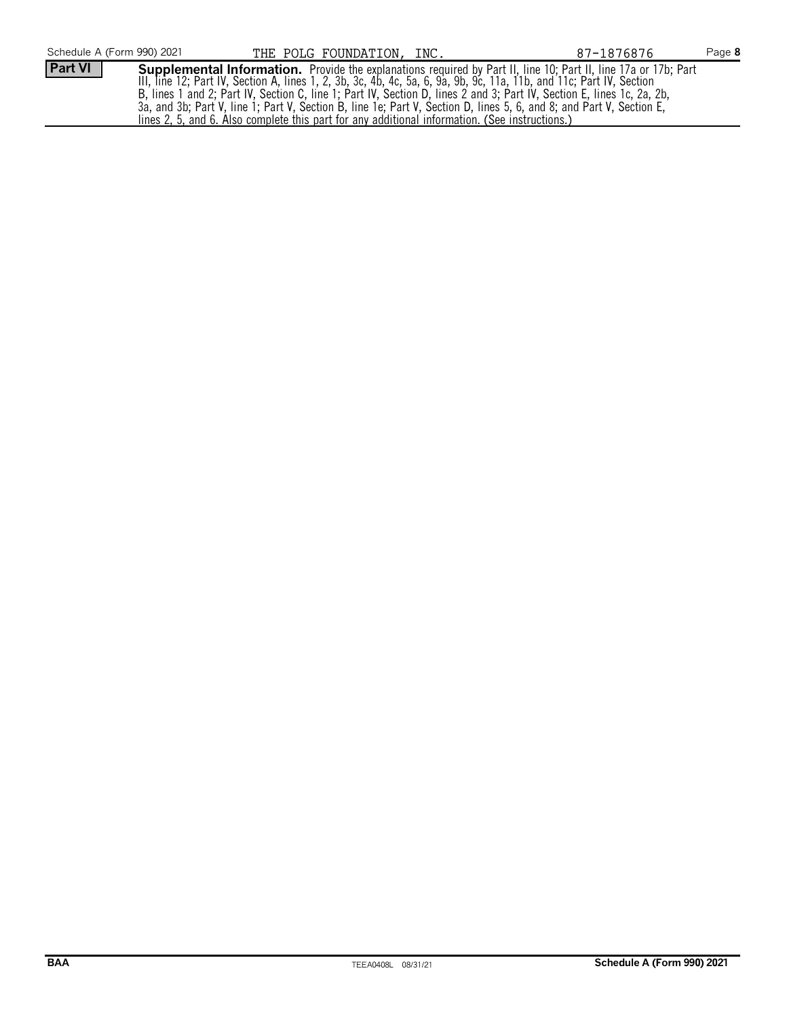| Schedule A (Form 990) 2021 | THE POLG FOUNDATION, INC.                                                                                                                                                                                                                                                                                                                                                                                                                                                                        | 87-1876876 | Page 8 |
|----------------------------|--------------------------------------------------------------------------------------------------------------------------------------------------------------------------------------------------------------------------------------------------------------------------------------------------------------------------------------------------------------------------------------------------------------------------------------------------------------------------------------------------|------------|--------|
| Part VI                    | <b>Supplemental Information.</b> Provide the explanations required by Part II, line 10; Part II, line 17a or 17b; Part<br>III, line 12; Part IV, Section A, lines 1, 2, 3b, 3c, 4b, 4c, 5a, 6, 9a, 9b, 9c, 11a, 11b, and 11c; Part IV, Section<br>B, lines 1 and 2; Part IV, Section C, line 1; Part IV, Section D, lines 2 and 3; Part IV, Section E, lines 1c, 2a, 2b,<br>3a, and 3b; Part V, line 1; Part V, Section B, line 1e; Part V, Section D, lines 5, 6, and 8; and Part V, Section E, |            |        |
|                            | lines 2, 5, and 6. Also complete this part for any additional information. (See instructions.)                                                                                                                                                                                                                                                                                                                                                                                                   |            |        |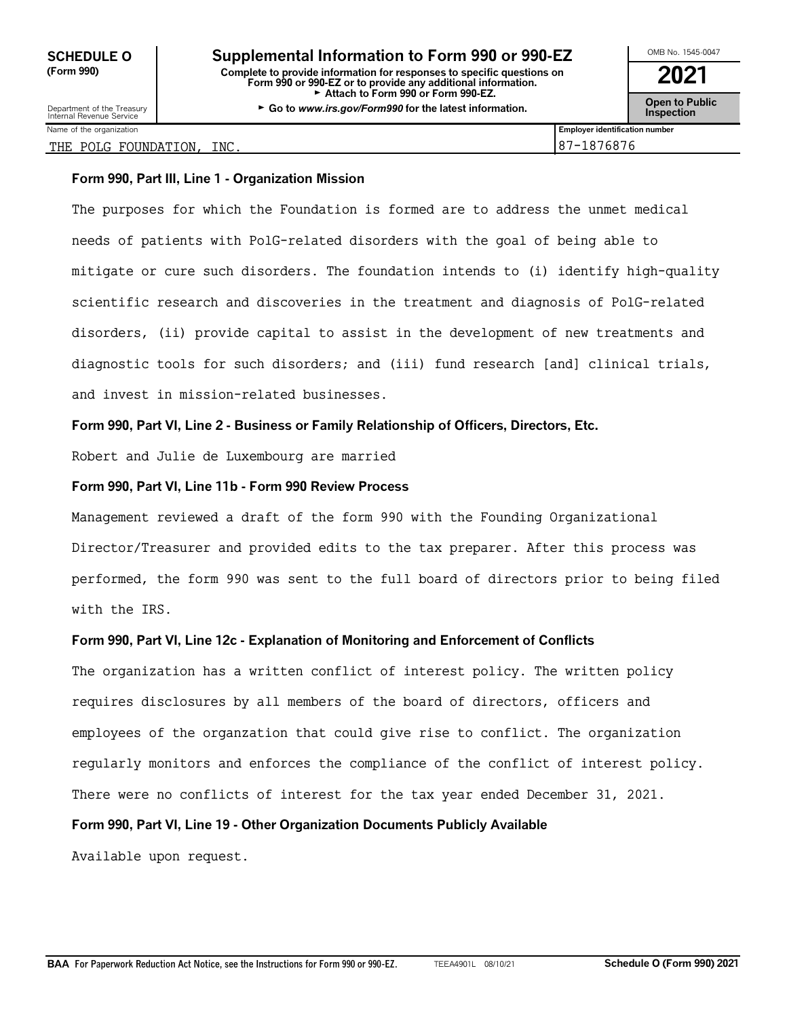| OMB No. 1545-0047                    |
|--------------------------------------|
| 2021                                 |
| <b>Open to Public<br/>Inspection</b> |

|  | Internal Revenue Service   |  |
|--|----------------------------|--|
|  | March of the competentials |  |
|  |                            |  |

#### THE POLG FOUNDATION, INC.  $|87-1876876$

#### **Form 990, Part III, Line 1 - Organization Mission**

The purposes for which the Foundation is formed are to address the unmet medical needs of patients with PolG-related disorders with the goal of being able to mitigate or cure such disorders. The foundation intends to (i) identify high-quality scientific research and discoveries in the treatment and diagnosis of PolG-related disorders, (ii) provide capital to assist in the development of new treatments and diagnostic tools for such disorders; and (iii) fund research [and] clinical trials, and invest in mission-related businesses.

## **Form 990, Part VI, Line 2 - Business or Family Relationship of Officers, Directors, Etc.**

Robert and Julie de Luxembourg are married

#### **Form 990, Part VI, Line 11b - Form 990 Review Process**

Management reviewed a draft of the form 990 with the Founding Organizational Director/Treasurer and provided edits to the tax preparer. After this process was performed, the form 990 was sent to the full board of directors prior to being filed with the IRS.

#### **Form 990, Part VI, Line 12c - Explanation of Monitoring and Enforcement of Conflicts**

The organization has a written conflict of interest policy. The written policy requires disclosures by all members of the board of directors, officers and employees of the organzation that could give rise to conflict. The organization regularly monitors and enforces the compliance of the conflict of interest policy. There were no conflicts of interest for the tax year ended December 31, 2021.

#### **Form 990, Part VI, Line 19 - Other Organization Documents Publicly Available**

Available upon request.